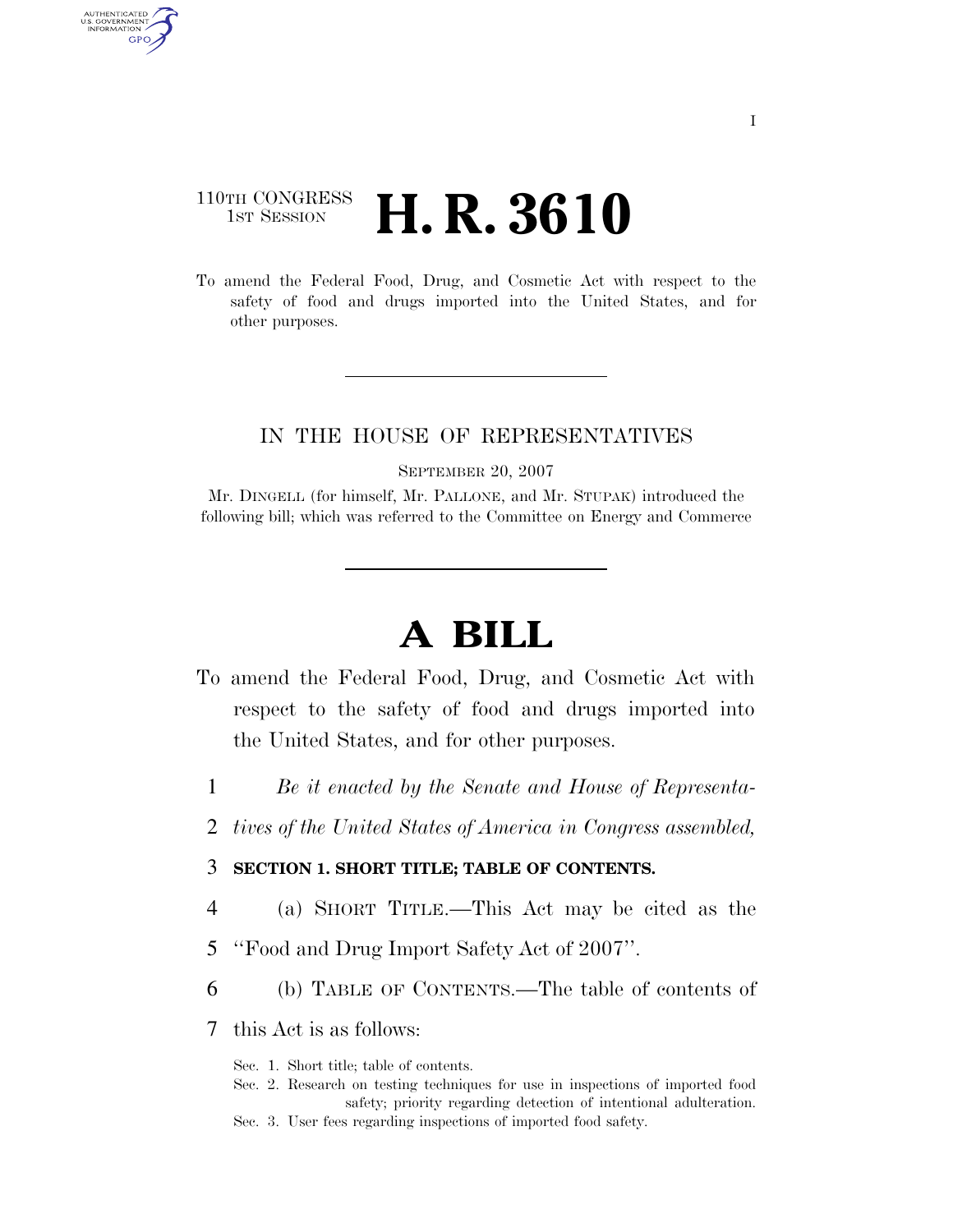## 110TH CONGRESS **1st Session H. R. 3610**

AUTHENTICATED U.S. GOVERNMENT GPO

> To amend the Federal Food, Drug, and Cosmetic Act with respect to the safety of food and drugs imported into the United States, and for other purposes.

### IN THE HOUSE OF REPRESENTATIVES

SEPTEMBER 20, 2007

Mr. DINGELL (for himself, Mr. PALLONE, and Mr. STUPAK) introduced the following bill; which was referred to the Committee on Energy and Commerce

# **A BILL**

- To amend the Federal Food, Drug, and Cosmetic Act with respect to the safety of food and drugs imported into the United States, and for other purposes.
	- 1 *Be it enacted by the Senate and House of Representa-*
	- 2 *tives of the United States of America in Congress assembled,*

### 3 **SECTION 1. SHORT TITLE; TABLE OF CONTENTS.**

- 4 (a) SHORT TITLE.—This Act may be cited as the
- 5 ''Food and Drug Import Safety Act of 2007''.
- 6 (b) TABLE OF CONTENTS.—The table of contents of
- 7 this Act is as follows:
	- Sec. 1. Short title; table of contents.
	- Sec. 2. Research on testing techniques for use in inspections of imported food safety; priority regarding detection of intentional adulteration.
	- Sec. 3. User fees regarding inspections of imported food safety.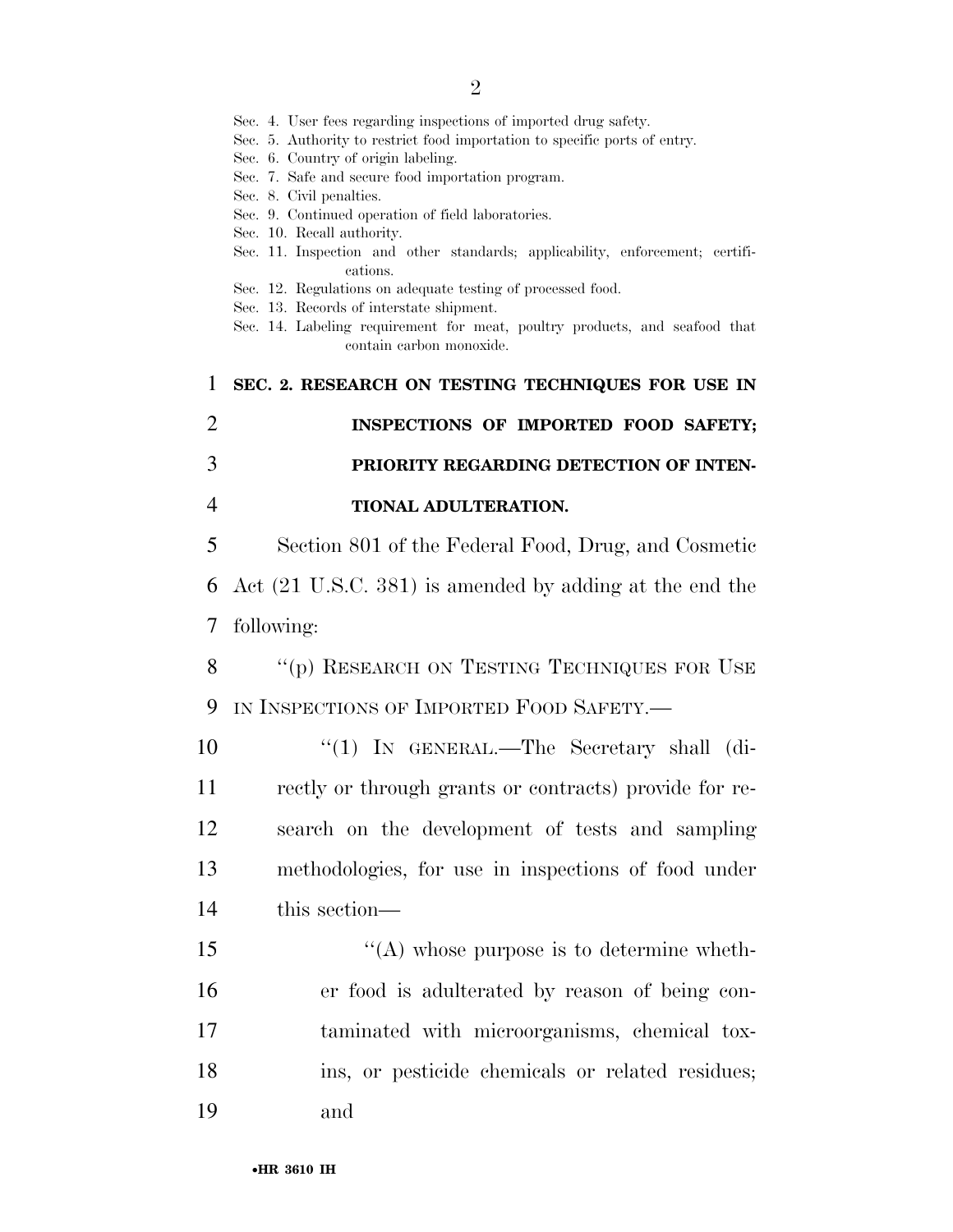Sec. 4. User fees regarding inspections of imported drug safety.

- Sec. 5. Authority to restrict food importation to specific ports of entry.
- Sec. 6. Country of origin labeling.
- Sec. 7. Safe and secure food importation program.
- Sec. 8. Civil penalties.
- Sec. 9. Continued operation of field laboratories.
- Sec. 10. Recall authority.
- Sec. 11. Inspection and other standards; applicability, enforcement; certifications.
- Sec. 12. Regulations on adequate testing of processed food.
- Sec. 13. Records of interstate shipment.
- Sec. 14. Labeling requirement for meat, poultry products, and seafood that contain carbon monoxide.

1 **SEC. 2. RESEARCH ON TESTING TECHNIQUES FOR USE IN** 

|   | INSPECTIONS OF IMPORTED FOOD SAFETY;   |
|---|----------------------------------------|
|   | PRIORITY REGARDING DETECTION OF INTEN- |
| 4 | <b>TIONAL ADULTERATION.</b>            |
|   |                                        |

5 Section 801 of the Federal Food, Drug, and Cosmetic 6 Act (21 U.S.C. 381) is amended by adding at the end the 7 following:

8 "(p) RESEARCH ON TESTING TECHNIQUES FOR USE 9 IN INSPECTIONS OF IMPORTED FOOD SAFETY.—

10 "(1) IN GENERAL.—The Secretary shall (di- rectly or through grants or contracts) provide for re- search on the development of tests and sampling methodologies, for use in inspections of food under this section—

 $\langle (A) \rangle$  whose purpose is to determine wheth- er food is adulterated by reason of being con- taminated with microorganisms, chemical tox- ins, or pesticide chemicals or related residues; 19 and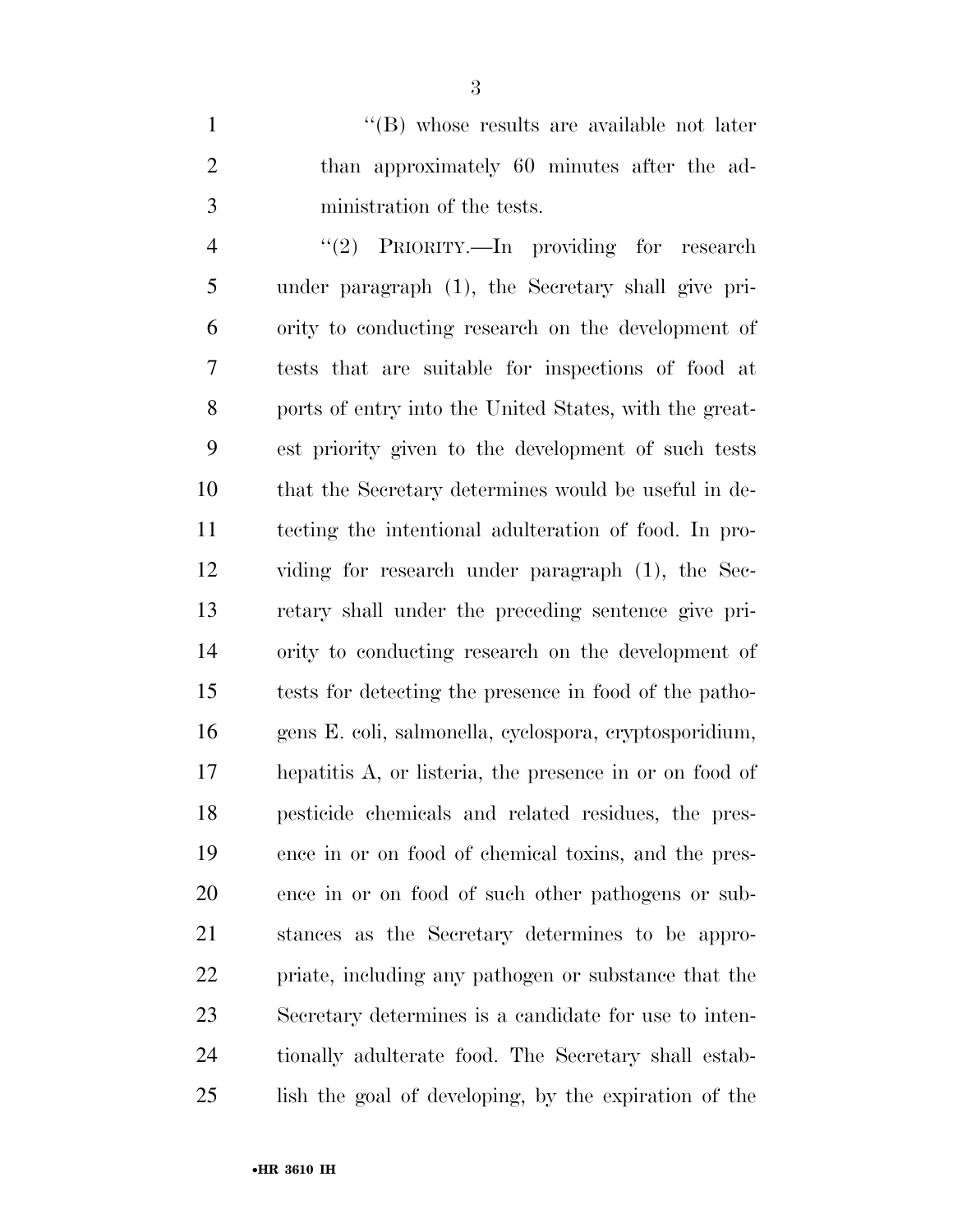1 ''(B) whose results are available not later than approximately 60 minutes after the ad-ministration of the tests.

4 "(2) PRIORITY.—In providing for research under paragraph (1), the Secretary shall give pri- ority to conducting research on the development of tests that are suitable for inspections of food at ports of entry into the United States, with the great- est priority given to the development of such tests that the Secretary determines would be useful in de- tecting the intentional adulteration of food. In pro- viding for research under paragraph (1), the Sec- retary shall under the preceding sentence give pri- ority to conducting research on the development of tests for detecting the presence in food of the patho- gens E. coli, salmonella, cyclospora, cryptosporidium, hepatitis A, or listeria, the presence in or on food of pesticide chemicals and related residues, the pres- ence in or on food of chemical toxins, and the pres- ence in or on food of such other pathogens or sub- stances as the Secretary determines to be appro- priate, including any pathogen or substance that the Secretary determines is a candidate for use to inten- tionally adulterate food. The Secretary shall estab-lish the goal of developing, by the expiration of the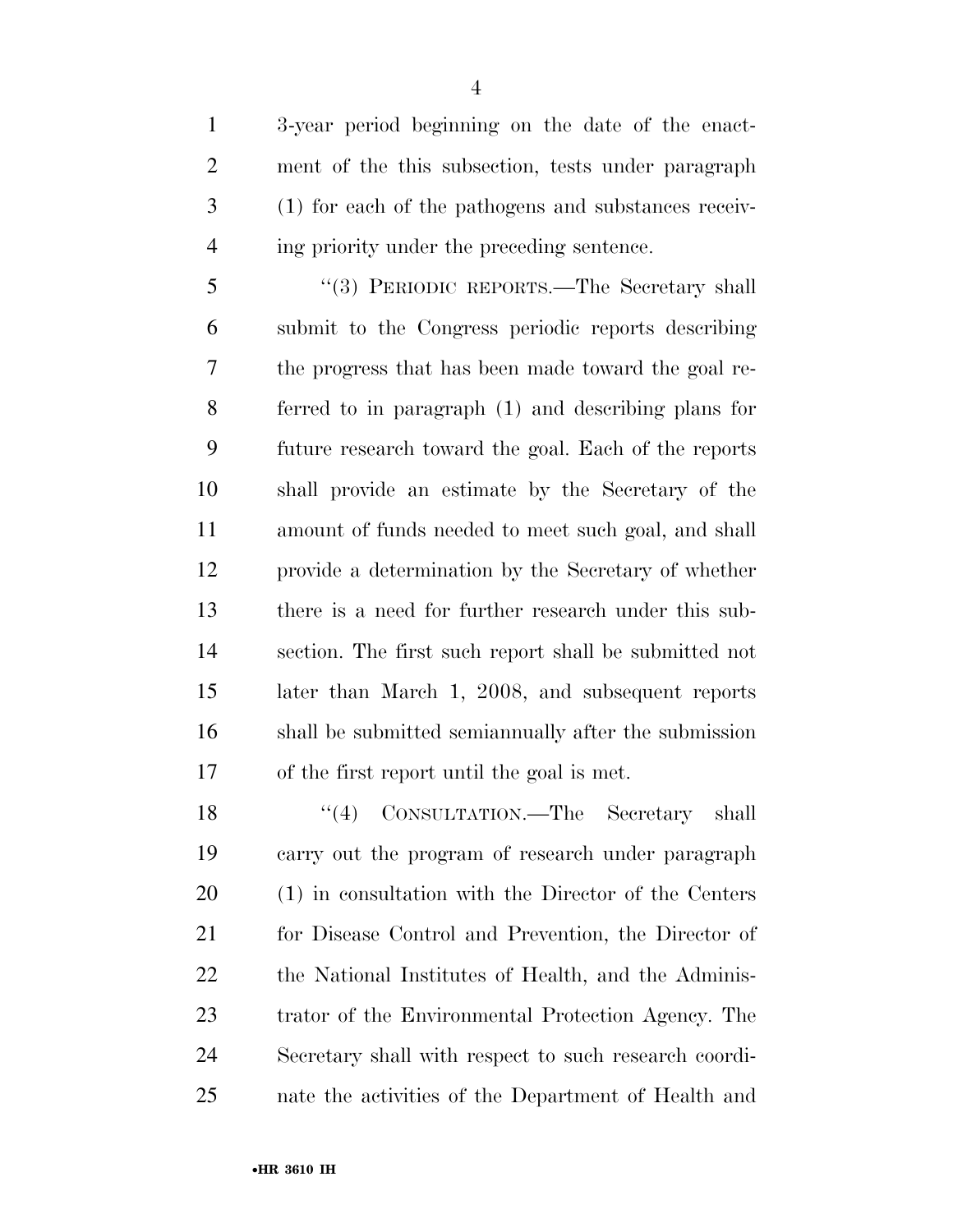3-year period beginning on the date of the enact- ment of the this subsection, tests under paragraph (1) for each of the pathogens and substances receiv-ing priority under the preceding sentence.

 ''(3) PERIODIC REPORTS.—The Secretary shall submit to the Congress periodic reports describing the progress that has been made toward the goal re- ferred to in paragraph (1) and describing plans for future research toward the goal. Each of the reports shall provide an estimate by the Secretary of the amount of funds needed to meet such goal, and shall provide a determination by the Secretary of whether there is a need for further research under this sub- section. The first such report shall be submitted not later than March 1, 2008, and subsequent reports shall be submitted semiannually after the submission of the first report until the goal is met.

18 ''(4) CONSULTATION.—The Secretary shall carry out the program of research under paragraph (1) in consultation with the Director of the Centers 21 for Disease Control and Prevention, the Director of 22 the National Institutes of Health, and the Adminis- trator of the Environmental Protection Agency. The Secretary shall with respect to such research coordi-nate the activities of the Department of Health and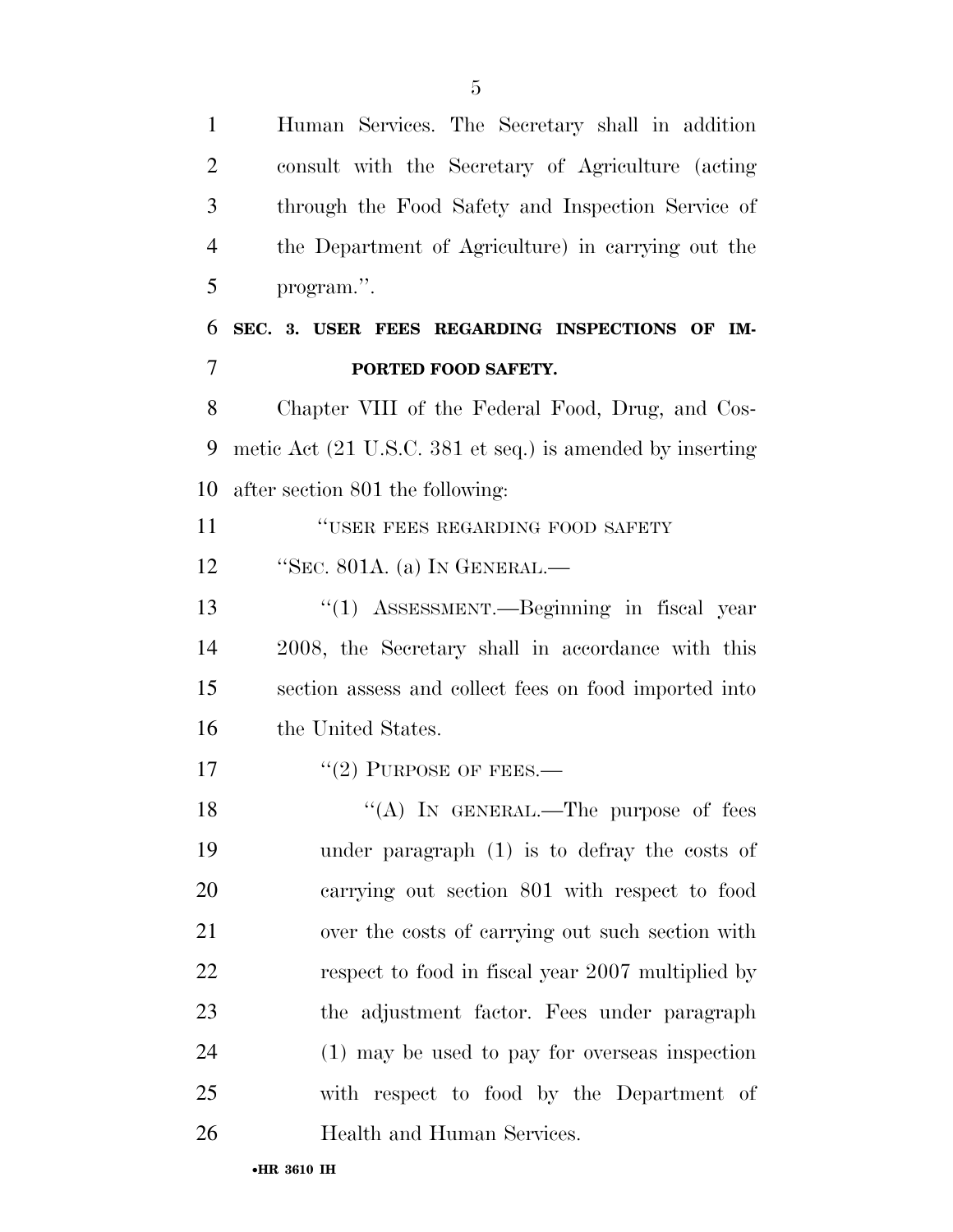Human Services. The Secretary shall in addition consult with the Secretary of Agriculture (acting through the Food Safety and Inspection Service of the Department of Agriculture) in carrying out the program.''. **SEC. 3. USER FEES REGARDING INSPECTIONS OF IM- PORTED FOOD SAFETY.**  Chapter VIII of the Federal Food, Drug, and Cos- metic Act (21 U.S.C. 381 et seq.) is amended by inserting after section 801 the following: *"USER FEES REGARDING FOOD SAFETY*  ''SEC. 801A. (a) IN GENERAL.— ''(1) ASSESSMENT.—Beginning in fiscal year 2008, the Secretary shall in accordance with this section assess and collect fees on food imported into the United States. 17 "(2) PURPOSE OF FEES.— 18 "(A) In GENERAL.—The purpose of fees under paragraph (1) is to defray the costs of carrying out section 801 with respect to food over the costs of carrying out such section with respect to food in fiscal year 2007 multiplied by the adjustment factor. Fees under paragraph (1) may be used to pay for overseas inspection with respect to food by the Department of Health and Human Services.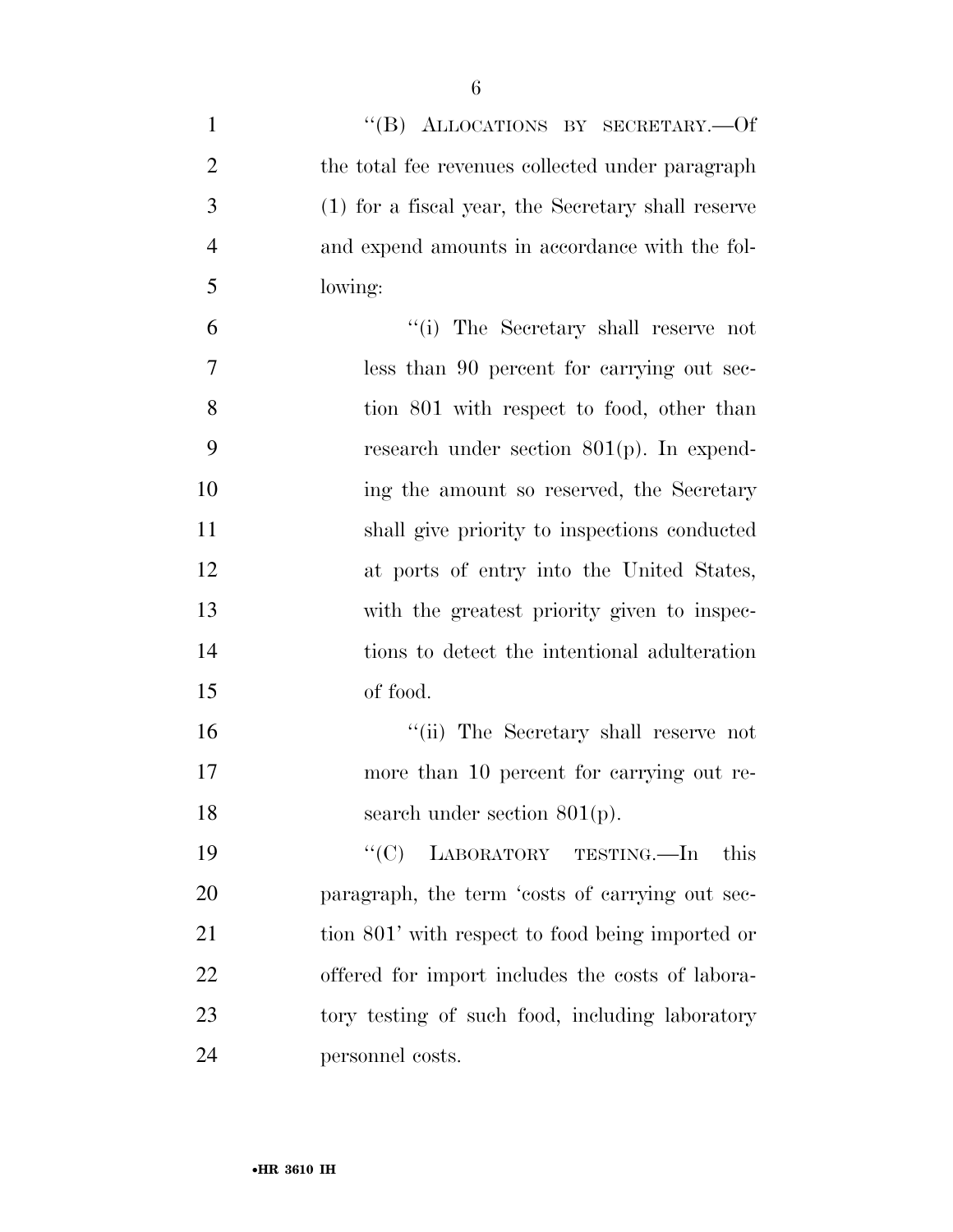| $\mathbf{1}$   | "(B) ALLOCATIONS BY SECRETARY.—Of                  |
|----------------|----------------------------------------------------|
| $\overline{2}$ | the total fee revenues collected under paragraph   |
| 3              | (1) for a fiscal year, the Secretary shall reserve |
| 4              | and expend amounts in accordance with the fol-     |
| 5              | lowing:                                            |
| 6              | "(i) The Secretary shall reserve not               |
| 7              | less than 90 percent for carrying out sec-         |
| 8              | tion 801 with respect to food, other than          |
| 9              | research under section $801(p)$ . In expend-       |
| 10             | ing the amount so reserved, the Secretary          |
| 11             | shall give priority to inspections conducted       |
| 12             | at ports of entry into the United States,          |
| 13             | with the greatest priority given to inspec-        |
| 14             | tions to detect the intentional adulteration       |
| 15             | of food.                                           |
| 16             | "(ii) The Secretary shall reserve not              |
| 17             | more than 10 percent for carrying out re-          |
| 18             | search under section $801(p)$ .                    |
| 19             | ``(C)<br>LABORATORY TESTING.-In<br>this            |
| 20             | paragraph, the term 'costs of carrying out sec-    |
| 21             | tion 801' with respect to food being imported or   |
| 22             | offered for import includes the costs of labora-   |
| 23             | tory testing of such food, including laboratory    |
| 24             | personnel costs.                                   |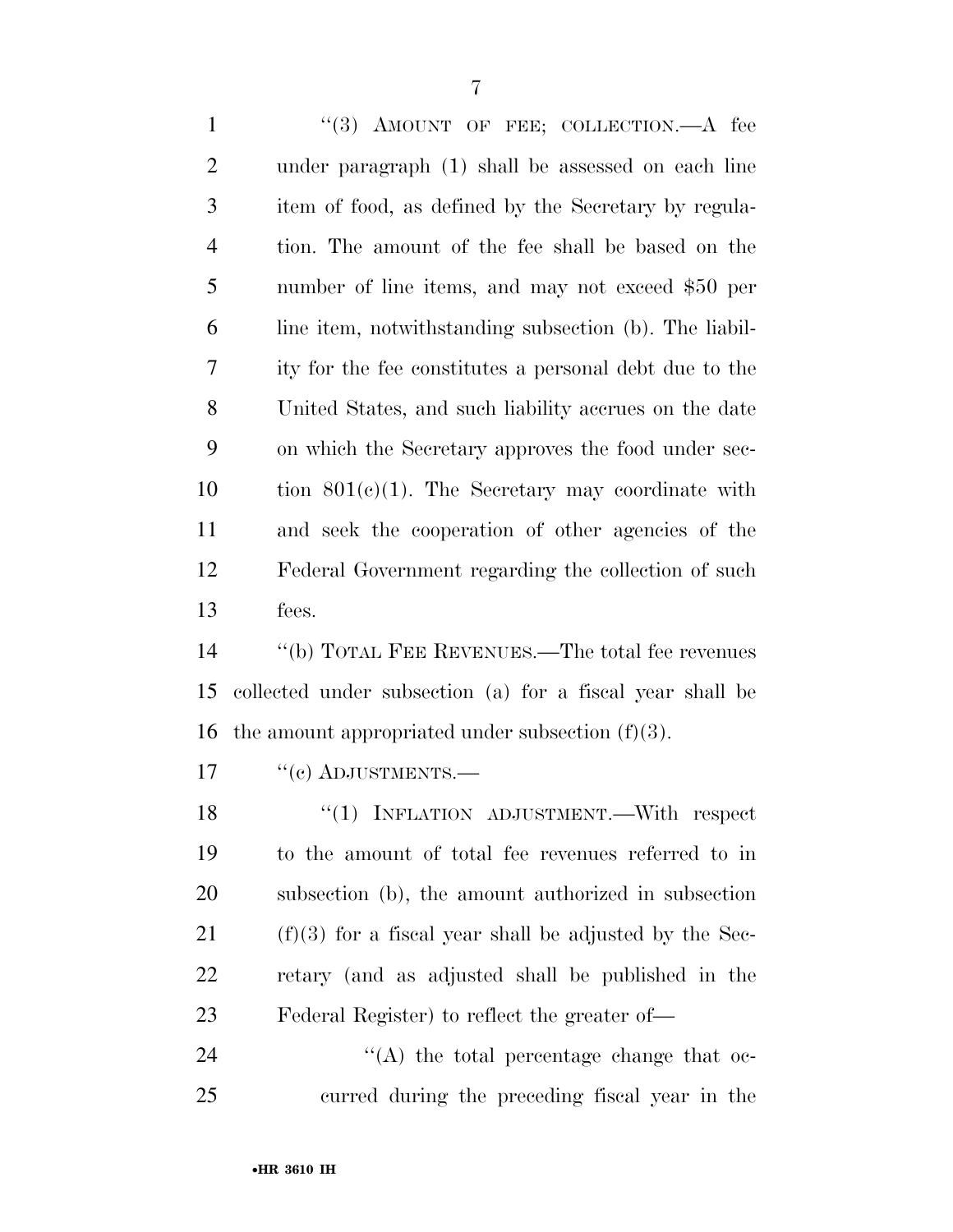1 "(3) AMOUNT OF FEE; COLLECTION.—A fee under paragraph (1) shall be assessed on each line item of food, as defined by the Secretary by regula- tion. The amount of the fee shall be based on the number of line items, and may not exceed \$50 per line item, notwithstanding subsection (b). The liabil- ity for the fee constitutes a personal debt due to the United States, and such liability accrues on the date on which the Secretary approves the food under sec-10 tion  $801(c)(1)$ . The Secretary may coordinate with and seek the cooperation of other agencies of the Federal Government regarding the collection of such fees.

 ''(b) TOTAL FEE REVENUES.—The total fee revenues collected under subsection (a) for a fiscal year shall be 16 the amount appropriated under subsection  $(f)(3)$ .

17 "(c) ADJUSTMENTS.—

18 "(1) INFLATION ADJUSTMENT.—With respect to the amount of total fee revenues referred to in subsection (b), the amount authorized in subsection (f)(3) for a fiscal year shall be adjusted by the Sec- retary (and as adjusted shall be published in the Federal Register) to reflect the greater of—

24 ''(A) the total percentage change that oc-curred during the preceding fiscal year in the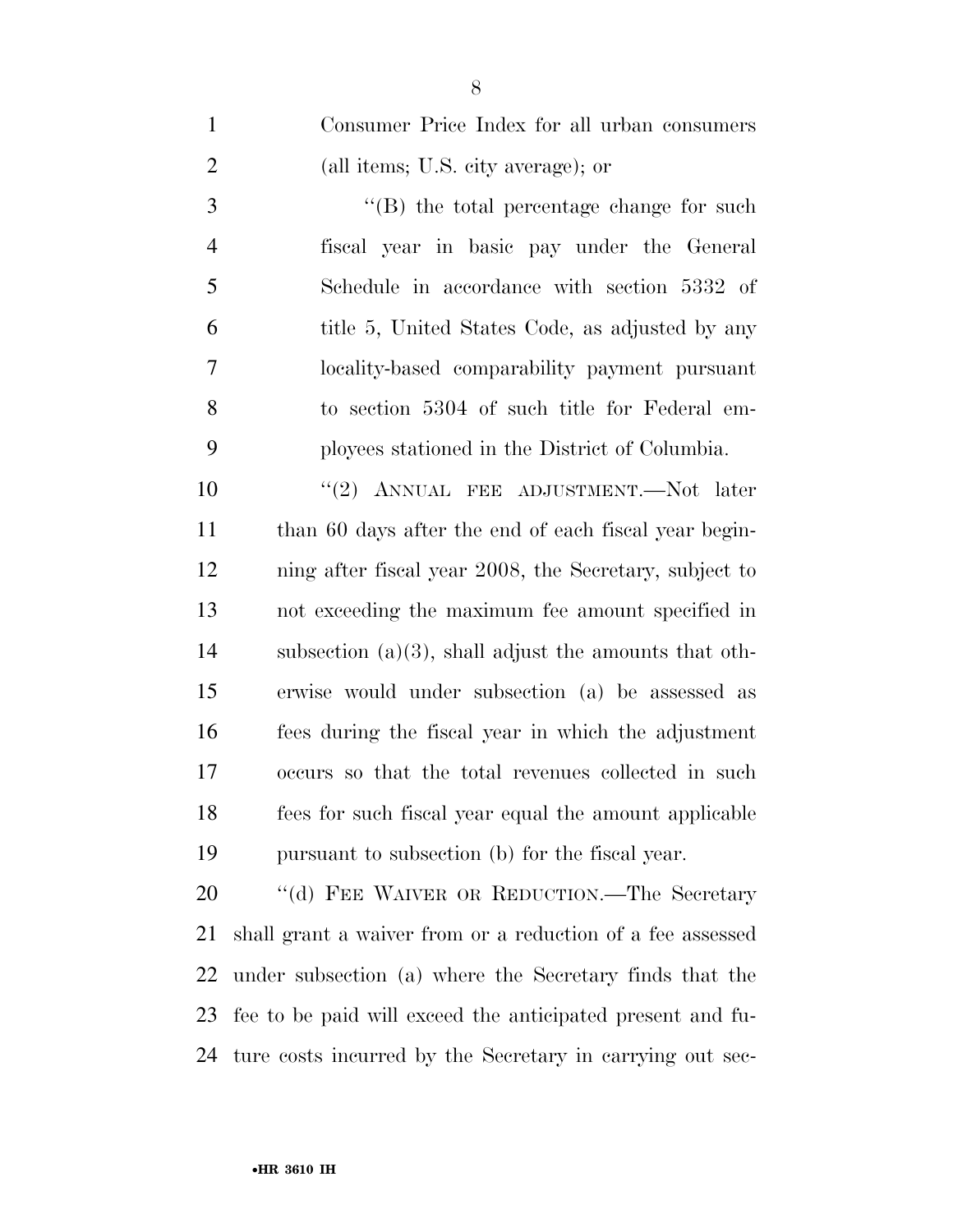Consumer Price Index for all urban consumers (all items; U.S. city average); or

3 ''(B) the total percentage change for such fiscal year in basic pay under the General Schedule in accordance with section 5332 of title 5, United States Code, as adjusted by any locality-based comparability payment pursuant to section 5304 of such title for Federal em-ployees stationed in the District of Columbia.

 $(2)$  ANNUAL FEE ADJUSTMENT. Not later 11 than 60 days after the end of each fiscal year begin- ning after fiscal year 2008, the Secretary, subject to not exceeding the maximum fee amount specified in subsection (a)(3), shall adjust the amounts that oth- erwise would under subsection (a) be assessed as fees during the fiscal year in which the adjustment occurs so that the total revenues collected in such fees for such fiscal year equal the amount applicable pursuant to subsection (b) for the fiscal year.

20 "(d) FEE WAIVER OR REDUCTION.—The Secretary shall grant a waiver from or a reduction of a fee assessed under subsection (a) where the Secretary finds that the fee to be paid will exceed the anticipated present and fu-ture costs incurred by the Secretary in carrying out sec-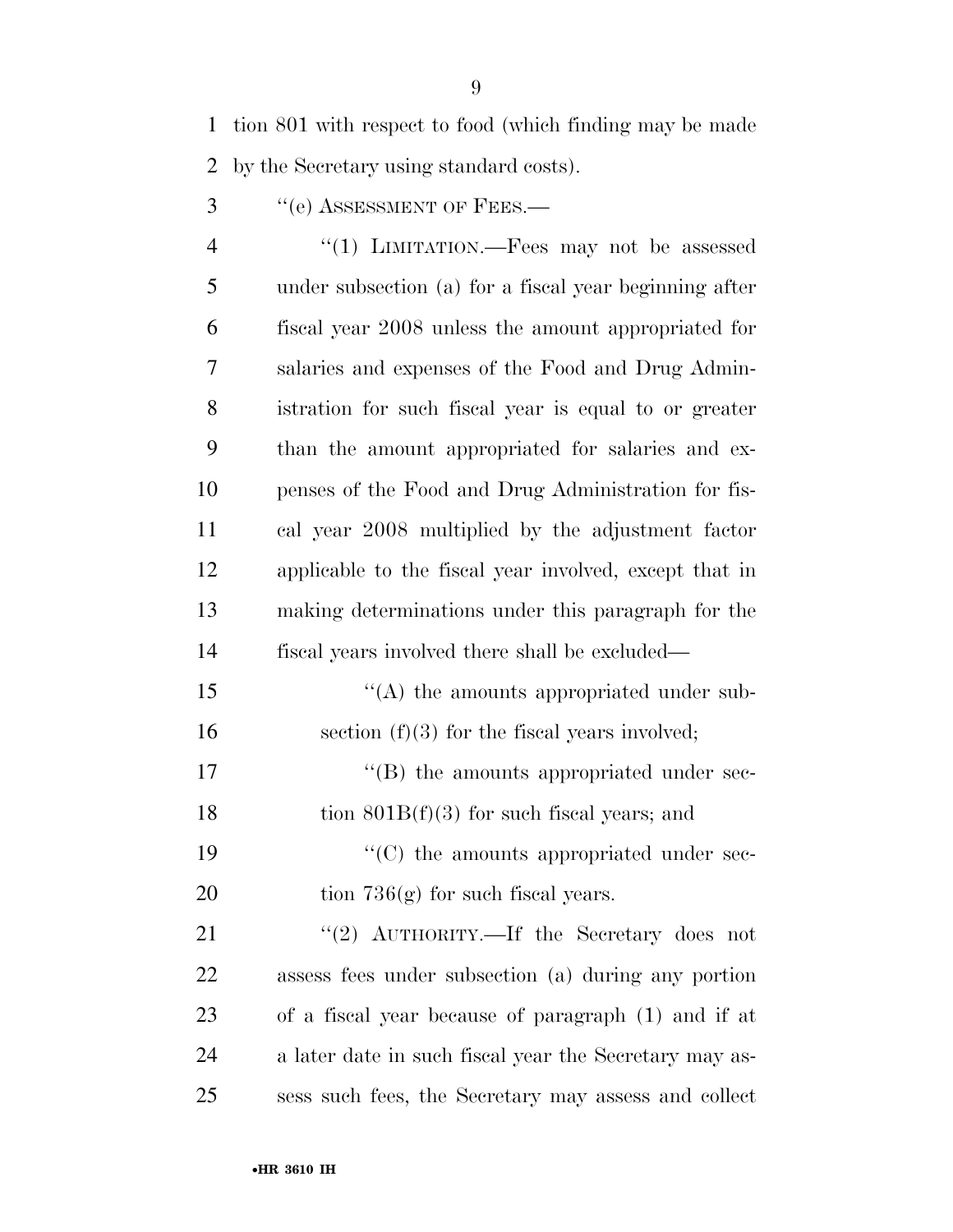tion 801 with respect to food (which finding may be made by the Secretary using standard costs).

3 " (e) ASSESSMENT OF FEES.—

4 "(1) LIMITATION.—Fees may not be assessed under subsection (a) for a fiscal year beginning after fiscal year 2008 unless the amount appropriated for salaries and expenses of the Food and Drug Admin- istration for such fiscal year is equal to or greater than the amount appropriated for salaries and ex- penses of the Food and Drug Administration for fis- cal year 2008 multiplied by the adjustment factor applicable to the fiscal year involved, except that in making determinations under this paragraph for the fiscal years involved there shall be excluded— 15 "(A) the amounts appropriated under sub-

- 16 section  $(f)(3)$  for the fiscal years involved;
- 17  $\langle G \rangle$  the amounts appropriated under sec-18 tion  $801B(f)(3)$  for such fiscal years; and

19  $\cdot$  (C) the amounts appropriated under sec-20 tion 736(g) for such fiscal years.

21 "(2) AUTHORITY.—If the Secretary does not assess fees under subsection (a) during any portion of a fiscal year because of paragraph (1) and if at a later date in such fiscal year the Secretary may as-sess such fees, the Secretary may assess and collect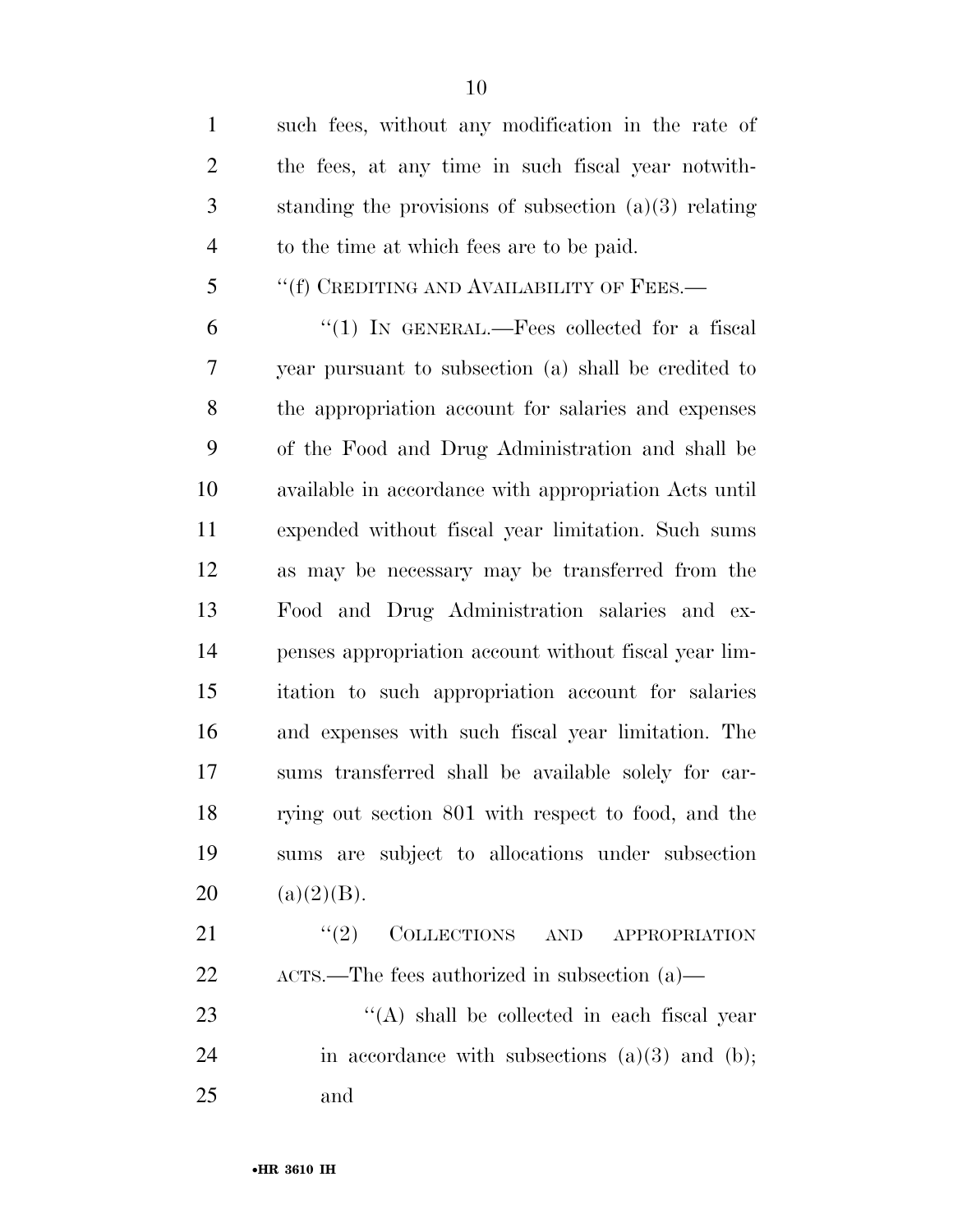| $\mathbf{1}$   | such fees, without any modification in the rate of      |
|----------------|---------------------------------------------------------|
| $\overline{2}$ | the fees, at any time in such fiscal year not with-     |
| 3              | standing the provisions of subsection $(a)(3)$ relating |
| $\overline{4}$ | to the time at which fees are to be paid.               |
| 5 <sup>5</sup> | "(f) CREDITING AND AVAILABILITY OF FEES.—               |
| 6              | "(1) IN GENERAL.—Fees collected for a fiscal            |
| 7              | year pursuant to subsection (a) shall be credited to    |
| 8              | the appropriation account for salaries and expenses     |
|                |                                                         |

 the appropriation account for salaries and expenses of the Food and Drug Administration and shall be available in accordance with appropriation Acts until expended without fiscal year limitation. Such sums as may be necessary may be transferred from the Food and Drug Administration salaries and ex- penses appropriation account without fiscal year lim- itation to such appropriation account for salaries and expenses with such fiscal year limitation. The sums transferred shall be available solely for car- rying out section 801 with respect to food, and the sums are subject to allocations under subsection 20 (a)(2)(B).

21 "(2) COLLECTIONS AND APPROPRIATION ACTS.—The fees authorized in subsection (a)— 23 ''(A) shall be collected in each fiscal year

24 in accordance with subsections  $(a)(3)$  and  $(b)$ ; and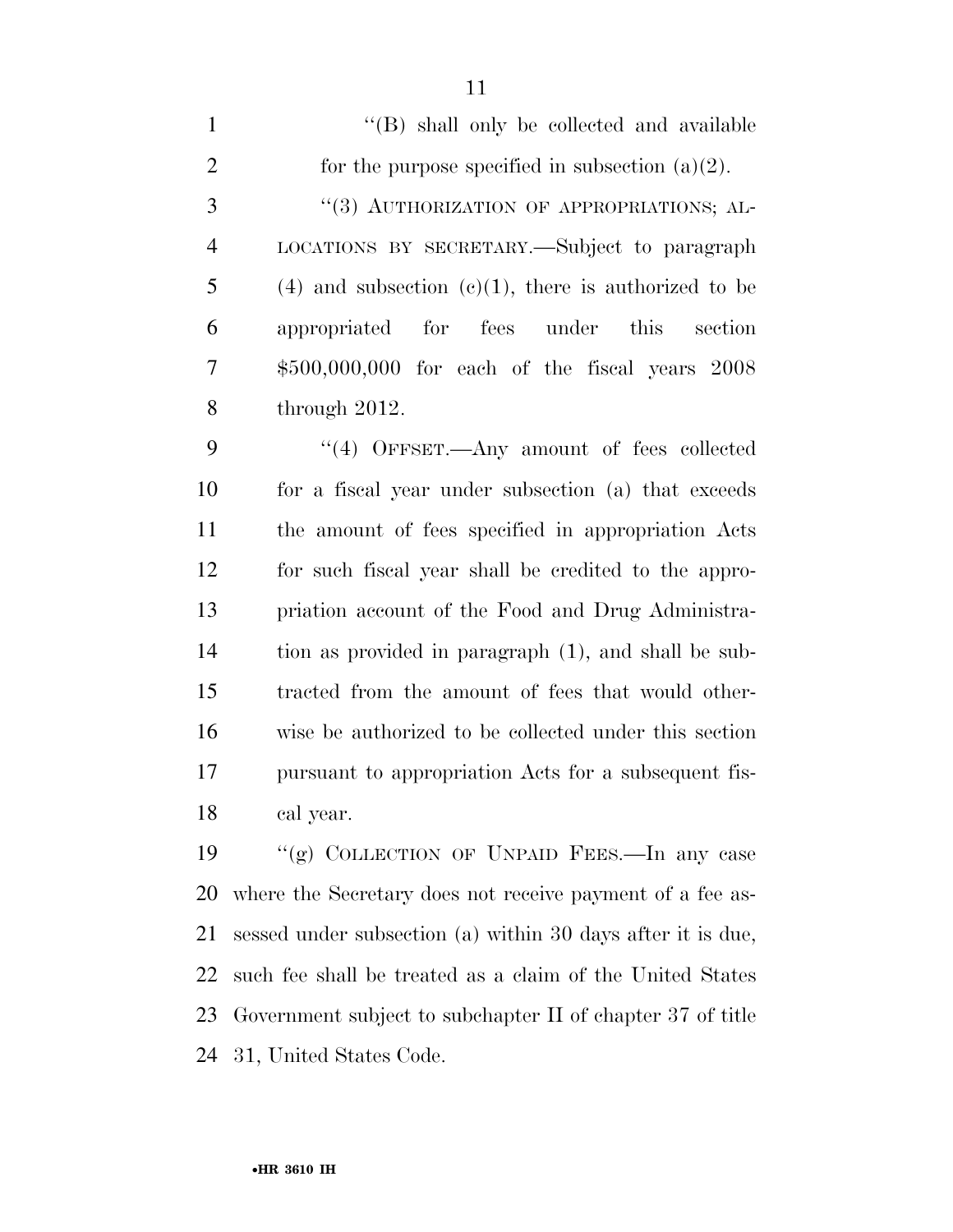1 ''(B) shall only be collected and available 2 for the purpose specified in subsection  $(a)(2)$ . 3 "(3) AUTHORIZATION OF APPROPRIATIONS; AL- LOCATIONS BY SECRETARY.—Subject to paragraph 5 (4) and subsection  $(c)(1)$ , there is authorized to be appropriated for fees under this section \$500,000,000 for each of the fiscal years 2008 through 2012.

 ''(4) OFFSET.—Any amount of fees collected for a fiscal year under subsection (a) that exceeds the amount of fees specified in appropriation Acts for such fiscal year shall be credited to the appro- priation account of the Food and Drug Administra- tion as provided in paragraph (1), and shall be sub- tracted from the amount of fees that would other- wise be authorized to be collected under this section pursuant to appropriation Acts for a subsequent fis-cal year.

 ''(g) COLLECTION OF UNPAID FEES.—In any case where the Secretary does not receive payment of a fee as- sessed under subsection (a) within 30 days after it is due, such fee shall be treated as a claim of the United States Government subject to subchapter II of chapter 37 of title 31, United States Code.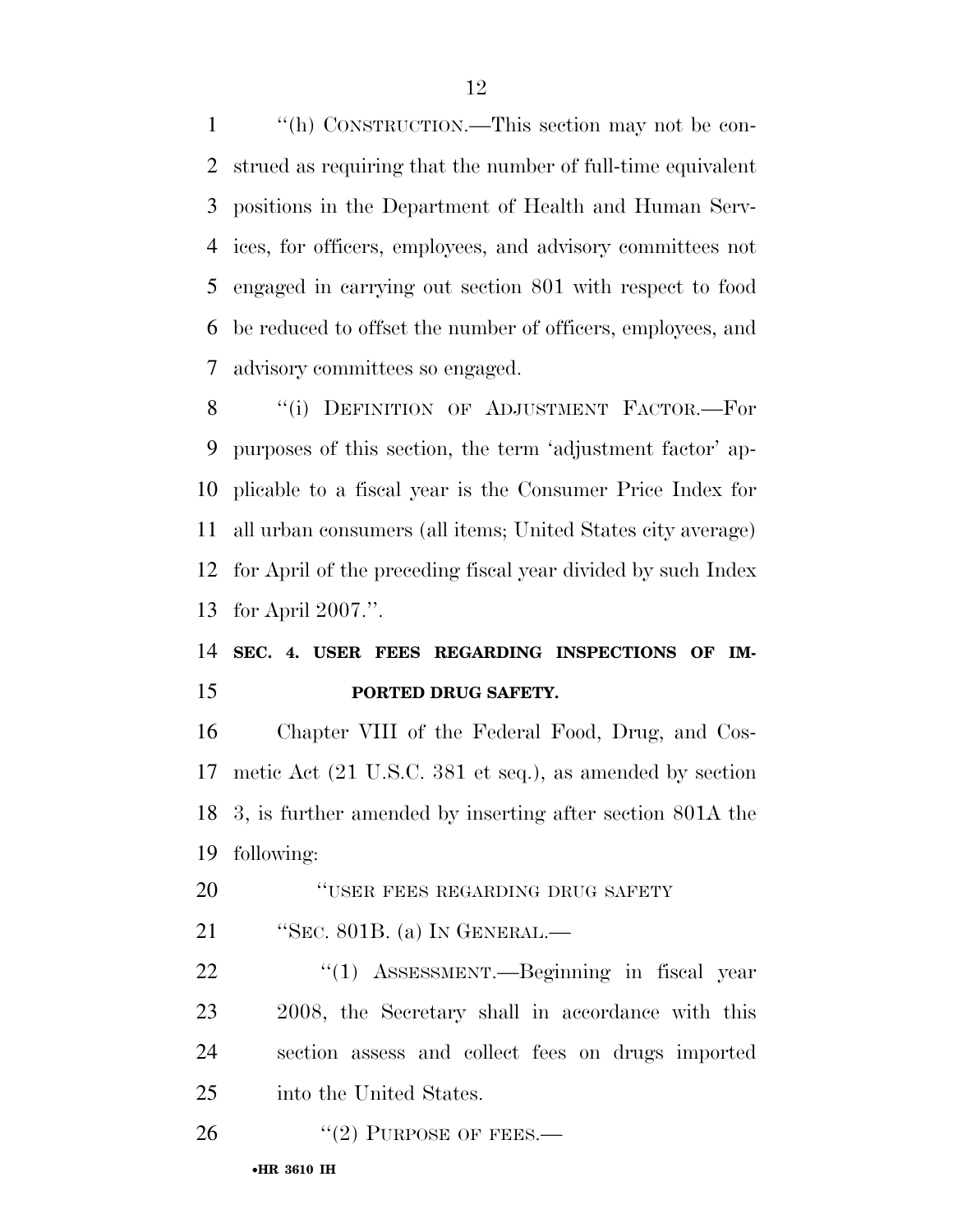''(h) CONSTRUCTION.—This section may not be con- strued as requiring that the number of full-time equivalent positions in the Department of Health and Human Serv- ices, for officers, employees, and advisory committees not engaged in carrying out section 801 with respect to food be reduced to offset the number of officers, employees, and advisory committees so engaged.

8 "(i) DEFINITION OF ADJUSTMENT FACTOR.-For purposes of this section, the term 'adjustment factor' ap- plicable to a fiscal year is the Consumer Price Index for all urban consumers (all items; United States city average) for April of the preceding fiscal year divided by such Index for April 2007.''.

# **SEC. 4. USER FEES REGARDING INSPECTIONS OF IM-PORTED DRUG SAFETY.**

 Chapter VIII of the Federal Food, Drug, and Cos- metic Act (21 U.S.C. 381 et seq.), as amended by section 3, is further amended by inserting after section 801A the following:

**THE STARE SEES REGARDING DRUG SAFETY** 

''SEC. 801B. (a) IN GENERAL.—

22 ''(1) ASSESSMENT.—Beginning in fiscal year 2008, the Secretary shall in accordance with this section assess and collect fees on drugs imported into the United States.

26 "(2) PURPOSE OF FEES.—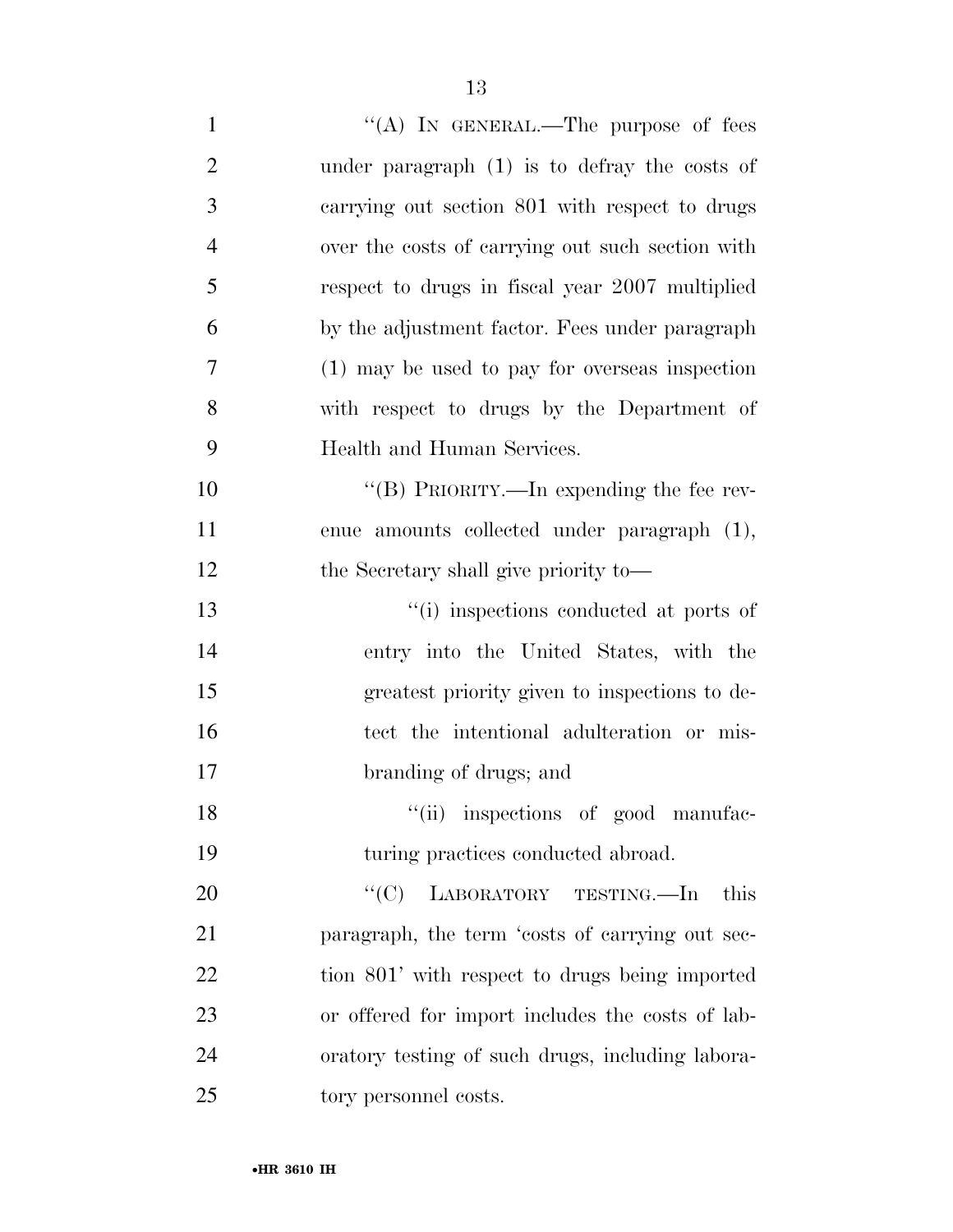| $\mathbf{1}$   | "(A) IN GENERAL.—The purpose of fees             |
|----------------|--------------------------------------------------|
| $\overline{2}$ | under paragraph $(1)$ is to defray the costs of  |
| 3              | carrying out section 801 with respect to drugs   |
| $\overline{4}$ | over the costs of carrying out such section with |
| 5              | respect to drugs in fiscal year 2007 multiplied  |
| 6              | by the adjustment factor. Fees under paragraph   |
| $\overline{7}$ | (1) may be used to pay for overseas inspection   |
| 8              | with respect to drugs by the Department of       |
| 9              | Health and Human Services.                       |
| 10             | "(B) PRIORITY.—In expending the fee rev-         |
| 11             | enue amounts collected under paragraph (1),      |
| 12             | the Secretary shall give priority to-            |
| 13             | "(i) inspections conducted at ports of           |
| 14             | entry into the United States, with the           |
| 15             | greatest priority given to inspections to de-    |
| 16             | tect the intentional adulteration or mis-        |
| 17             | branding of drugs; and                           |
| 18             | "(ii) inspections of good manufac-               |
| 19             | turing practices conducted abroad.               |
| 20             | ``(C)<br>LABORATORY TESTING.-In<br>this          |
| 21             | paragraph, the term 'costs of carrying out sec-  |
| 22             | tion 801' with respect to drugs being imported   |
| 23             | or offered for import includes the costs of lab- |
| 24             | oratory testing of such drugs, including labora- |
| 25             | tory personnel costs.                            |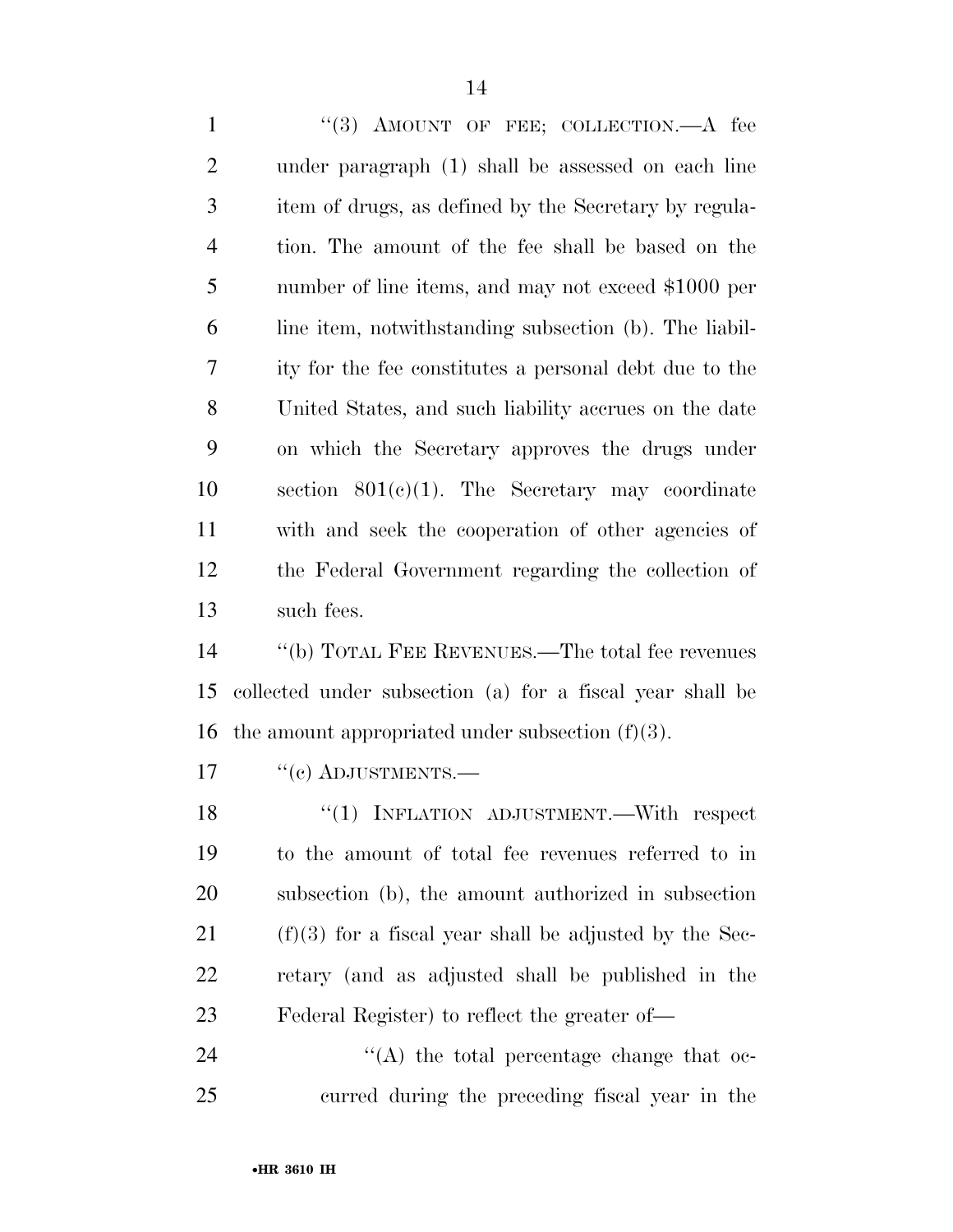1 "(3) AMOUNT OF FEE; COLLECTION.—A fee under paragraph (1) shall be assessed on each line item of drugs, as defined by the Secretary by regula- tion. The amount of the fee shall be based on the number of line items, and may not exceed \$1000 per line item, notwithstanding subsection (b). The liabil- ity for the fee constitutes a personal debt due to the United States, and such liability accrues on the date on which the Secretary approves the drugs under section 801(c)(1). The Secretary may coordinate with and seek the cooperation of other agencies of the Federal Government regarding the collection of such fees.

 ''(b) TOTAL FEE REVENUES.—The total fee revenues collected under subsection (a) for a fiscal year shall be 16 the amount appropriated under subsection  $(f)(3)$ .

17 "(c) ADJUSTMENTS.—

18 "(1) INFLATION ADJUSTMENT.—With respect to the amount of total fee revenues referred to in subsection (b), the amount authorized in subsection (f)(3) for a fiscal year shall be adjusted by the Sec- retary (and as adjusted shall be published in the Federal Register) to reflect the greater of—

24 ''(A) the total percentage change that oc-curred during the preceding fiscal year in the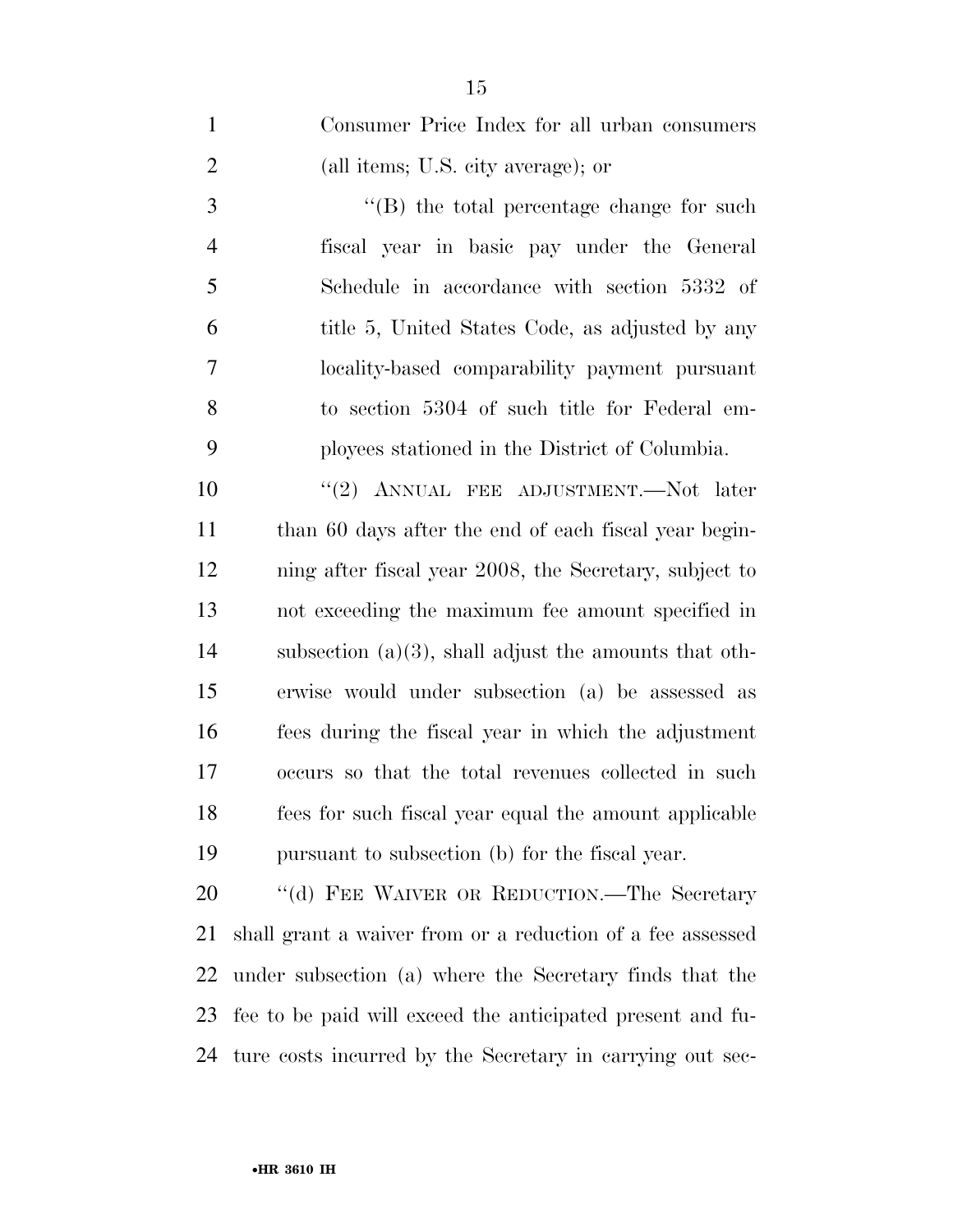Consumer Price Index for all urban consumers (all items; U.S. city average); or

3 ''(B) the total percentage change for such fiscal year in basic pay under the General Schedule in accordance with section 5332 of title 5, United States Code, as adjusted by any locality-based comparability payment pursuant to section 5304 of such title for Federal em-ployees stationed in the District of Columbia.

 $(2)$  ANNUAL FEE ADJUSTMENT. Not later 11 than 60 days after the end of each fiscal year begin- ning after fiscal year 2008, the Secretary, subject to not exceeding the maximum fee amount specified in subsection (a)(3), shall adjust the amounts that oth- erwise would under subsection (a) be assessed as fees during the fiscal year in which the adjustment occurs so that the total revenues collected in such fees for such fiscal year equal the amount applicable pursuant to subsection (b) for the fiscal year.

20 "(d) FEE WAIVER OR REDUCTION.—The Secretary shall grant a waiver from or a reduction of a fee assessed under subsection (a) where the Secretary finds that the fee to be paid will exceed the anticipated present and fu-ture costs incurred by the Secretary in carrying out sec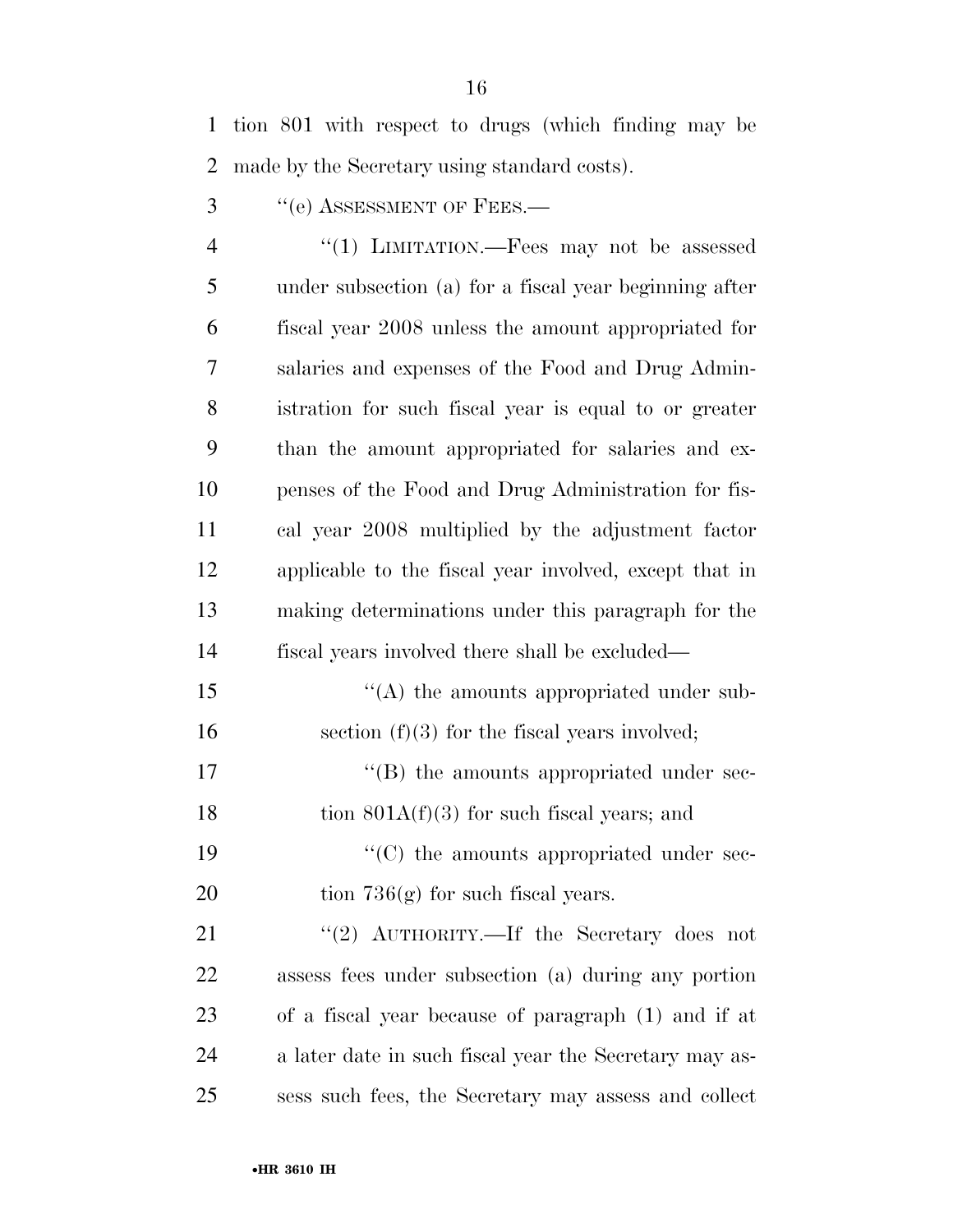tion 801 with respect to drugs (which finding may be made by the Secretary using standard costs).

3 " (e) ASSESSMENT OF FEES.—

4 "(1) LIMITATION.—Fees may not be assessed under subsection (a) for a fiscal year beginning after fiscal year 2008 unless the amount appropriated for salaries and expenses of the Food and Drug Admin- istration for such fiscal year is equal to or greater than the amount appropriated for salaries and ex- penses of the Food and Drug Administration for fis- cal year 2008 multiplied by the adjustment factor applicable to the fiscal year involved, except that in making determinations under this paragraph for the fiscal years involved there shall be excluded—  $\langle (A)$  the amounts appropriated under sub-

16 section  $(f)(3)$  for the fiscal years involved;

17  $\langle G \rangle$  the amounts appropriated under sec-18 tion  $801A(f)(3)$  for such fiscal years; and

19  $\cdot$  (C) the amounts appropriated under sec-20 tion  $736(g)$  for such fiscal years.

21 "(2) AUTHORITY.—If the Secretary does not assess fees under subsection (a) during any portion of a fiscal year because of paragraph (1) and if at a later date in such fiscal year the Secretary may as-sess such fees, the Secretary may assess and collect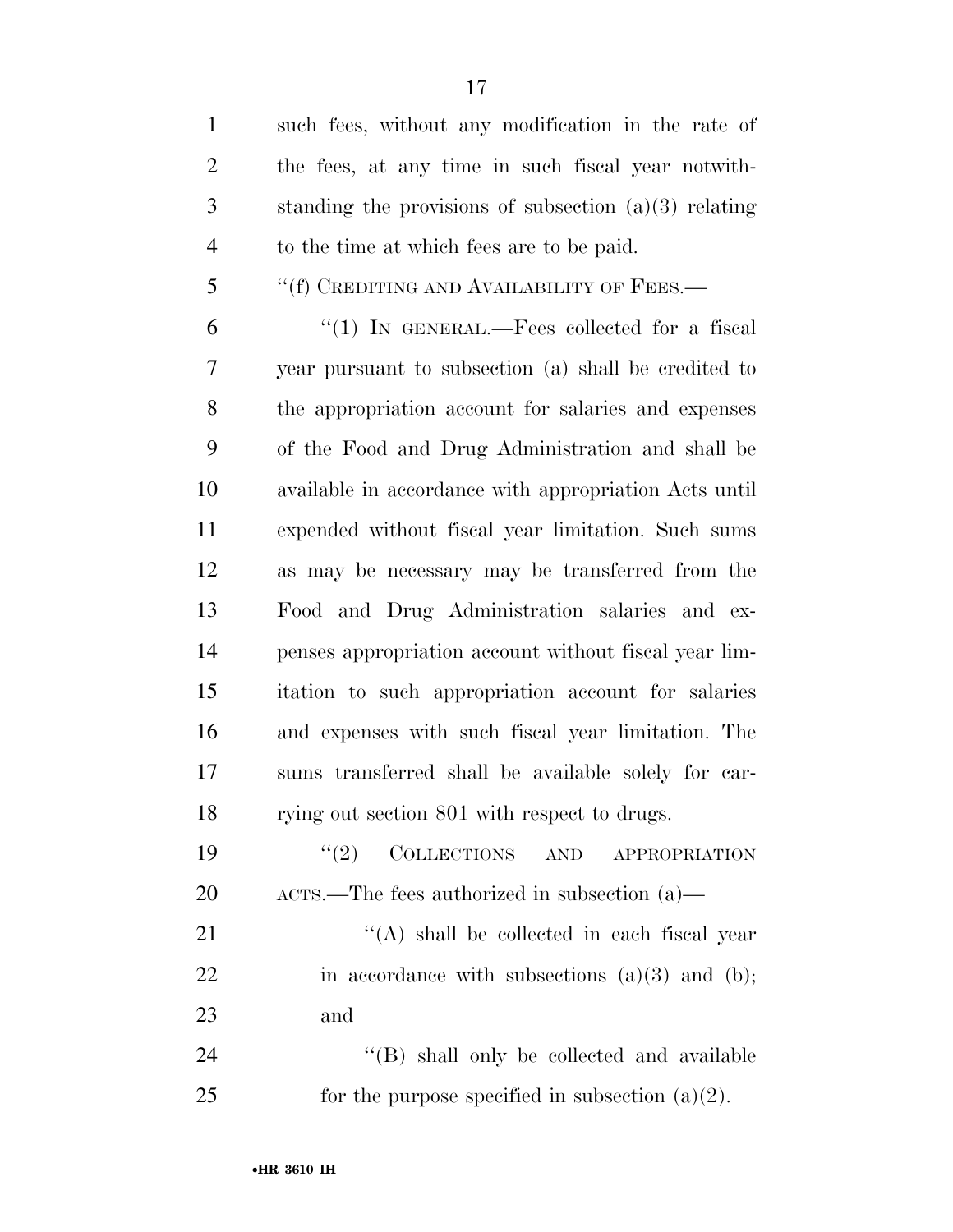| $\mathbf{1}$   | such fees, without any modification in the rate of                 |
|----------------|--------------------------------------------------------------------|
| $\overline{2}$ | the fees, at any time in such fiscal year notwith-                 |
| 3              | standing the provisions of subsection $(a)(3)$ relating            |
| $\overline{4}$ | to the time at which fees are to be paid.                          |
| 5              | "(f) CREDITING AND AVAILABILITY OF FEES.—                          |
| 6              | "(1) IN GENERAL.—Fees collected for a fiscal                       |
| 7              | year pursuant to subsection (a) shall be credited to               |
| 8              | the appropriation account for salaries and expenses                |
| 9              | of the Food and Drug Administration and shall be                   |
| 10             | available in accordance with appropriation Acts until              |
| 11             | expended without fiscal year limitation. Such sums                 |
| 12             | as may be necessary may be transferred from the                    |
| 13             | Food and Drug Administration salaries and ex-                      |
| 14             | penses appropriation account without fiscal year lim-              |
| 15             | itation to such appropriation account for salaries                 |
| 16             | and expenses with such fiscal year limitation. The                 |
| 17             | sums transferred shall be available solely for car-                |
| 18             | rying out section 801 with respect to drugs.                       |
| 19             | <b>COLLECTIONS</b><br>(2)<br>$\operatorname{AND}$<br>APPROPRIATION |
| 20             | $\text{ACTS.}$ The fees authorized in subsection (a)—              |
| 21             | $\lq\lq$ shall be collected in each fiscal year                    |
| 22             | in accordance with subsections $(a)(3)$ and $(b)$ ;                |
| 23             | and                                                                |
| 24             | "(B) shall only be collected and available                         |
| 25             | for the purpose specified in subsection $(a)(2)$ .                 |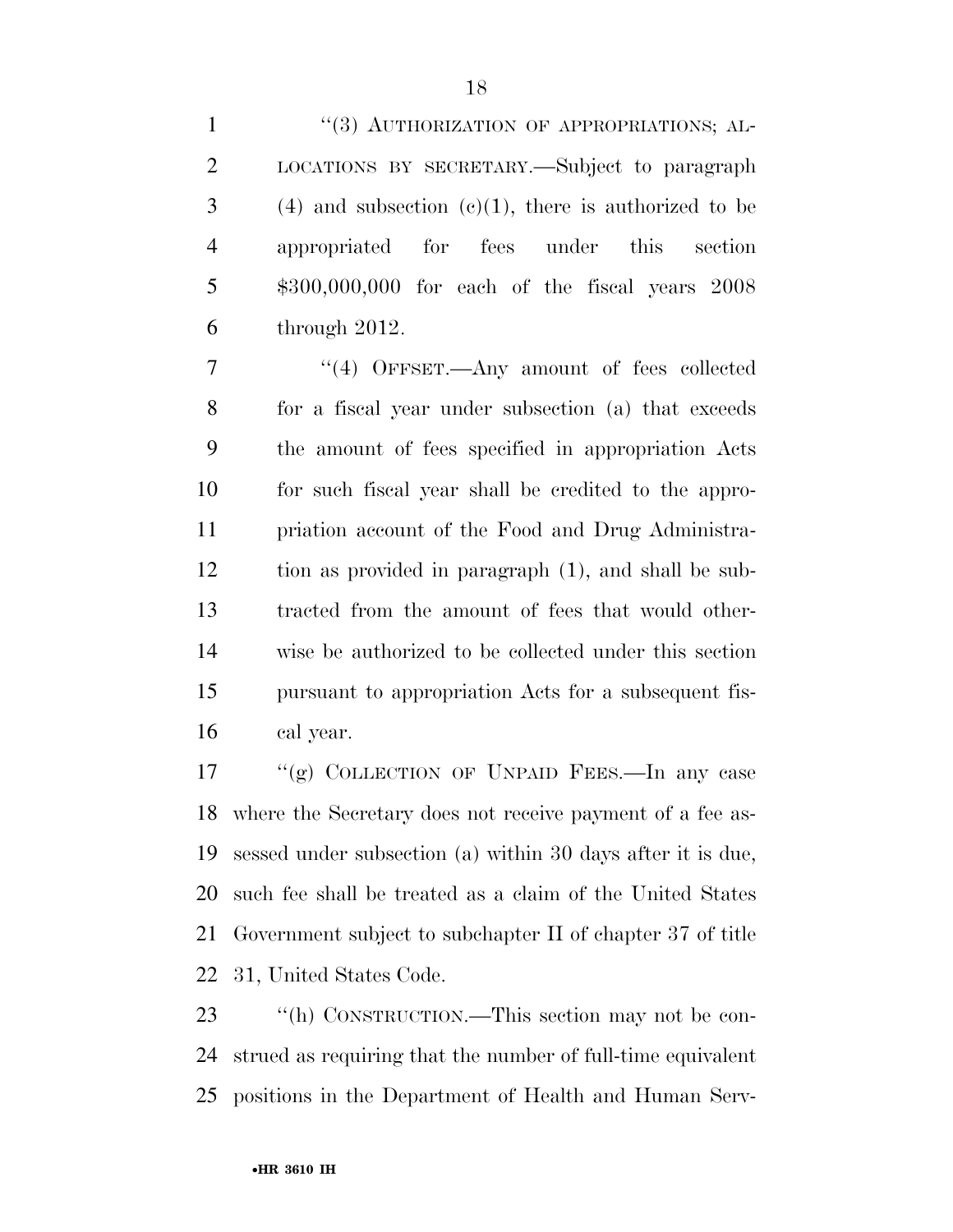1 ''(3) AUTHORIZATION OF APPROPRIATIONS; AL- LOCATIONS BY SECRETARY.—Subject to paragraph (4) and subsection (c)(1), there is authorized to be appropriated for fees under this section \$300,000,000 for each of the fiscal years 2008 through 2012.

 ''(4) OFFSET.—Any amount of fees collected for a fiscal year under subsection (a) that exceeds the amount of fees specified in appropriation Acts for such fiscal year shall be credited to the appro- priation account of the Food and Drug Administra- tion as provided in paragraph (1), and shall be sub- tracted from the amount of fees that would other- wise be authorized to be collected under this section pursuant to appropriation Acts for a subsequent fis-cal year.

 ''(g) COLLECTION OF UNPAID FEES.—In any case where the Secretary does not receive payment of a fee as- sessed under subsection (a) within 30 days after it is due, such fee shall be treated as a claim of the United States Government subject to subchapter II of chapter 37 of title 31, United States Code.

 ''(h) CONSTRUCTION.—This section may not be con- strued as requiring that the number of full-time equivalent positions in the Department of Health and Human Serv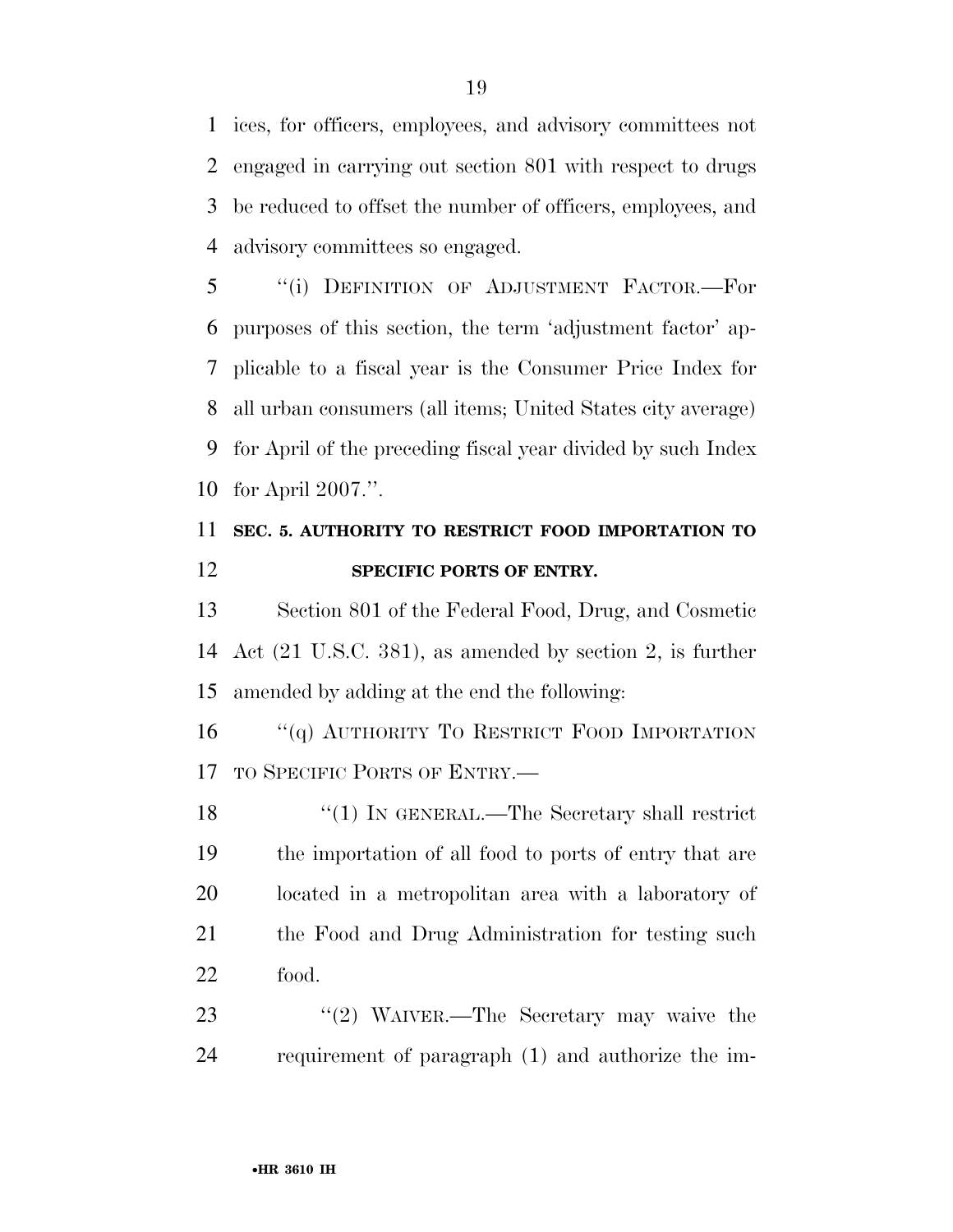ices, for officers, employees, and advisory committees not engaged in carrying out section 801 with respect to drugs be reduced to offset the number of officers, employees, and advisory committees so engaged.

 ''(i) DEFINITION OF ADJUSTMENT FACTOR.—For purposes of this section, the term 'adjustment factor' ap- plicable to a fiscal year is the Consumer Price Index for all urban consumers (all items; United States city average) for April of the preceding fiscal year divided by such Index for April 2007.''.

# **SEC. 5. AUTHORITY TO RESTRICT FOOD IMPORTATION TO SPECIFIC PORTS OF ENTRY.**

 Section 801 of the Federal Food, Drug, and Cosmetic Act (21 U.S.C. 381), as amended by section 2, is further amended by adding at the end the following:

16 "(q) AUTHORITY TO RESTRICT FOOD IMPORTATION TO SPECIFIC PORTS OF ENTRY.—

18 "(1) IN GENERAL.—The Secretary shall restrict the importation of all food to ports of entry that are located in a metropolitan area with a laboratory of 21 the Food and Drug Administration for testing such food.

23 "(2) WAIVER.—The Secretary may waive the requirement of paragraph (1) and authorize the im-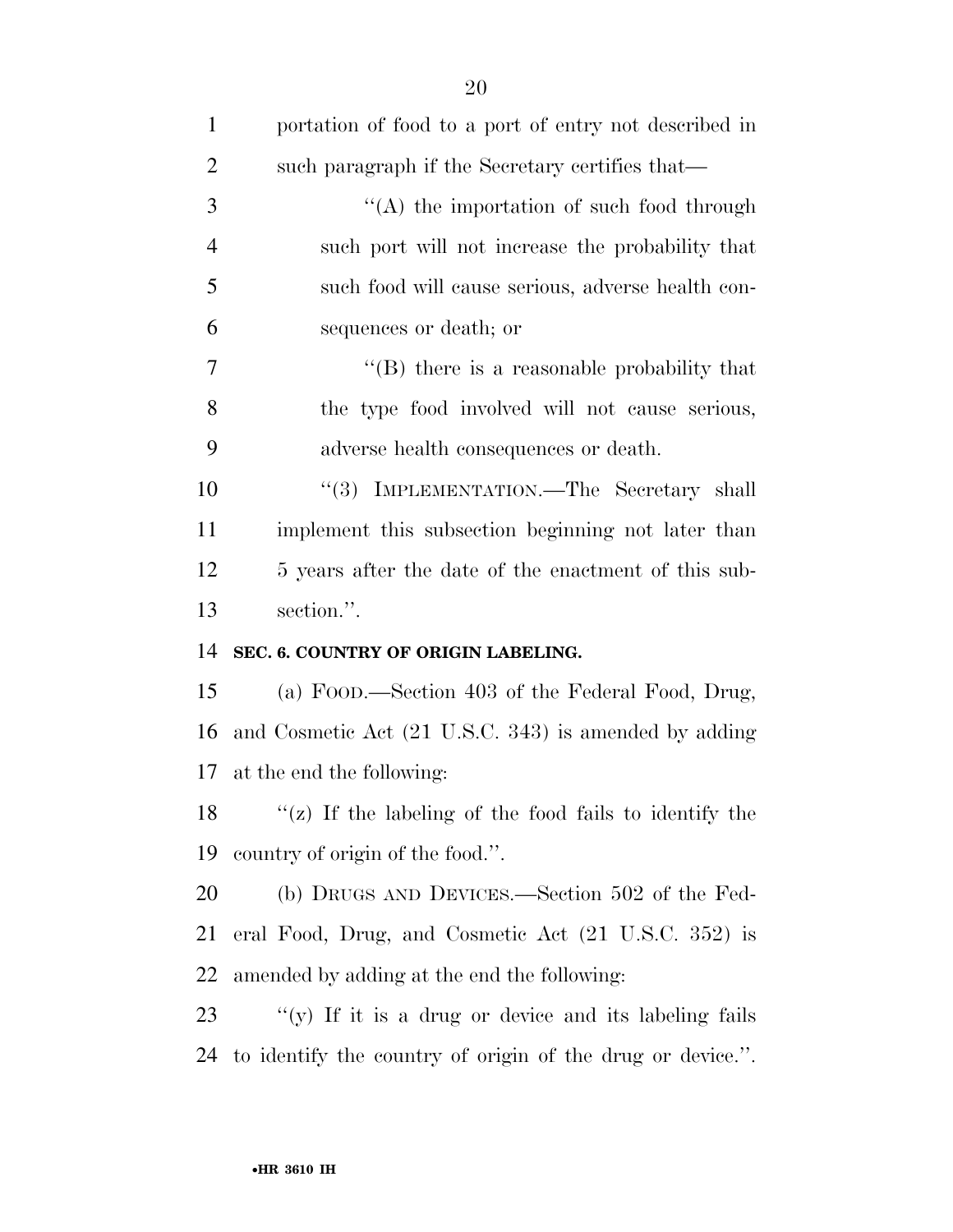| $\mathbf{1}$   | portation of food to a port of entry not described in  |
|----------------|--------------------------------------------------------|
| $\overline{2}$ | such paragraph if the Secretary certifies that—        |
| 3              | "(A) the importation of such food through              |
| $\overline{4}$ | such port will not increase the probability that       |
| 5              | such food will cause serious, adverse health con-      |
| 6              | sequences or death; or                                 |
| 7              | $\lq\lq$ (B) there is a reasonable probability that    |
| 8              | the type food involved will not cause serious,         |
| 9              | adverse health consequences or death.                  |
| 10             | "(3) IMPLEMENTATION.—The Secretary shall               |
| 11             | implement this subsection beginning not later than     |
| 12             | 5 years after the date of the enactment of this sub-   |
|                |                                                        |
| 13             | section.".                                             |
| 14             | SEC. 6. COUNTRY OF ORIGIN LABELING.                    |
| 15             | (a) FOOD.—Section 403 of the Federal Food, Drug,       |
| 16             | and Cosmetic Act (21 U.S.C. 343) is amended by adding  |
| 17             | at the end the following:                              |
| 18             | "(z) If the labeling of the food fails to identify the |
| 19             | country of origin of the food.".                       |
| 20             | (b) DRUGS AND DEVICES.—Section 502 of the Fed-         |
| 21             | eral Food, Drug, and Cosmetic Act (21 U.S.C. 352) is   |
| 22             | amended by adding at the end the following:            |
| 23             | "(y) If it is a drug or device and its labeling fails  |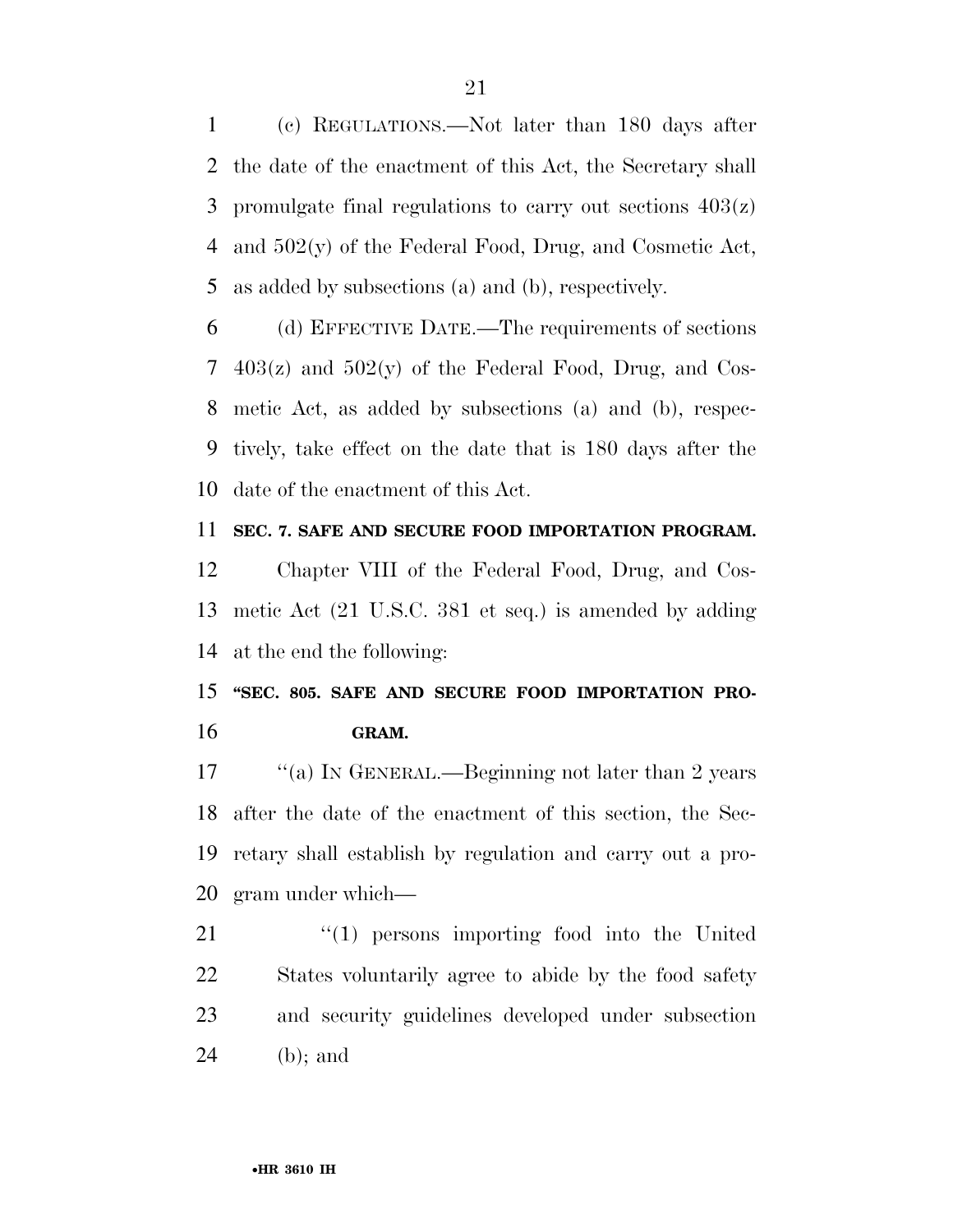(c) REGULATIONS.—Not later than 180 days after the date of the enactment of this Act, the Secretary shall 3 promulgate final regulations to carry out sections  $403(z)$  and 502(y) of the Federal Food, Drug, and Cosmetic Act, as added by subsections (a) and (b), respectively.

 (d) EFFECTIVE DATE.—The requirements of sections 403(z) and 502(y) of the Federal Food, Drug, and Cos- metic Act, as added by subsections (a) and (b), respec- tively, take effect on the date that is 180 days after the date of the enactment of this Act.

 **SEC. 7. SAFE AND SECURE FOOD IMPORTATION PROGRAM.**  Chapter VIII of the Federal Food, Drug, and Cos- metic Act (21 U.S.C. 381 et seq.) is amended by adding at the end the following:

 **''SEC. 805. SAFE AND SECURE FOOD IMPORTATION PRO-GRAM.** 

17 ''(a) IN GENERAL.—Beginning not later than 2 years after the date of the enactment of this section, the Sec- retary shall establish by regulation and carry out a pro-gram under which—

21 ''(1) persons importing food into the United States voluntarily agree to abide by the food safety and security guidelines developed under subsection (b); and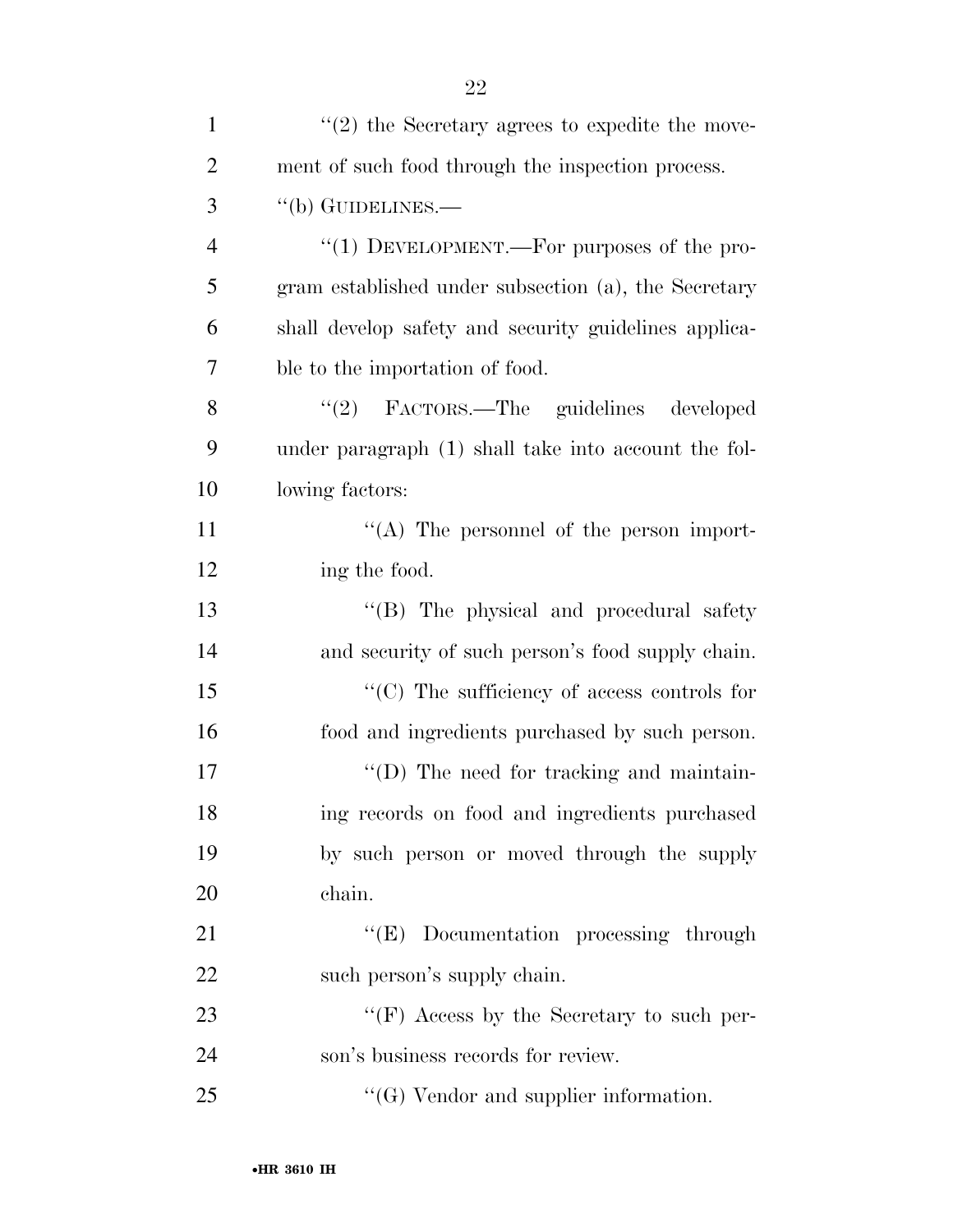| $\mathbf{1}$   | $\lq(2)$ the Secretary agrees to expedite the move-   |
|----------------|-------------------------------------------------------|
| $\overline{2}$ | ment of such food through the inspection process.     |
| 3              | $\lq\lq(b)$ GUIDELINES.—                              |
| $\overline{4}$ | "(1) DEVELOPMENT.—For purposes of the pro-            |
| 5              | gram established under subsection (a), the Secretary  |
| 6              | shall develop safety and security guidelines applica- |
| 7              | ble to the importation of food.                       |
| 8              | "(2) FACTORS.—The guidelines developed                |
| 9              | under paragraph (1) shall take into account the fol-  |
| 10             | lowing factors:                                       |
| 11             | $\lq\lq$ . The personnel of the person import-        |
| 12             | ing the food.                                         |
| 13             | "(B) The physical and procedural safety               |
| 14             | and security of such person's food supply chain.      |
| 15             | "(C) The sufficiency of access controls for           |
| 16             | food and ingredients purchased by such person.        |
| 17             | $\lq\lq$ (D) The need for tracking and maintain-      |
| 18             | ing records on food and ingredients purchased         |
| 19             | by such person or moved through the supply            |
| 20             | chain.                                                |
| 21             | "(E) Documentation processing through                 |
| 22             | such person's supply chain.                           |
| 23             | "(F) Access by the Secretary to such per-             |
| 24             | son's business records for review.                    |
| 25             | $\lq\lq (G)$ Vendor and supplier information.         |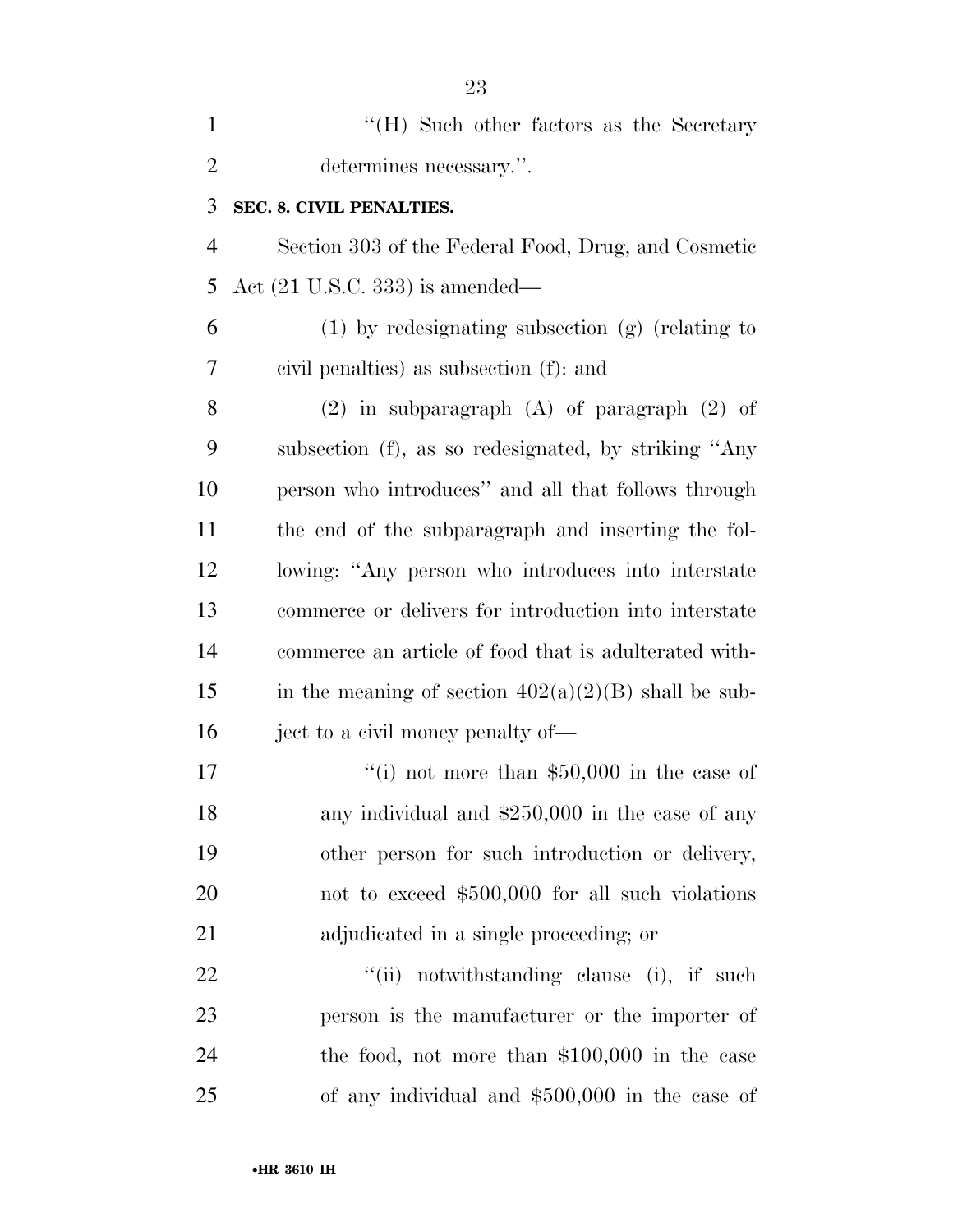| $\mathbf{1}$   | "(H) Such other factors as the Secretary               |
|----------------|--------------------------------------------------------|
| $\overline{2}$ | determines necessary.".                                |
| 3              | SEC. 8. CIVIL PENALTIES.                               |
| $\overline{4}$ | Section 303 of the Federal Food, Drug, and Cosmetic    |
| 5              | Act $(21 \text{ U.S.C. } 333)$ is amended—             |
| 6              | $(1)$ by redesignating subsection $(g)$ (relating to   |
| 7              | civil penalties) as subsection (f): and                |
| 8              | $(2)$ in subparagraph $(A)$ of paragraph $(2)$ of      |
| 9              | subsection (f), as so redesignated, by striking "Any   |
| 10             | person who introduces" and all that follows through    |
| 11             | the end of the subparagraph and inserting the fol-     |
| 12             | lowing: "Any person who introduces into interstate     |
| 13             | commerce or delivers for introduction into interstate  |
| 14             | commerce an article of food that is adulterated with-  |
| 15             | in the meaning of section $402(a)(2)(B)$ shall be sub- |
| 16             | ject to a civil money penalty of—                      |
| 17             | "(i) not more than $$50,000$ in the case of            |
| 18             | any individual and $$250,000$ in the case of any       |
| 19             | other person for such introduction or delivery,        |
| 20             | not to exceed \$500,000 for all such violations        |
| 21             | adjudicated in a single proceeding; or                 |
| 22             | "(ii) notwithstanding clause (i), if such              |
| 23             | person is the manufacturer or the importer of          |
|                |                                                        |

 the food, not more than \$100,000 in the case of any individual and \$500,000 in the case of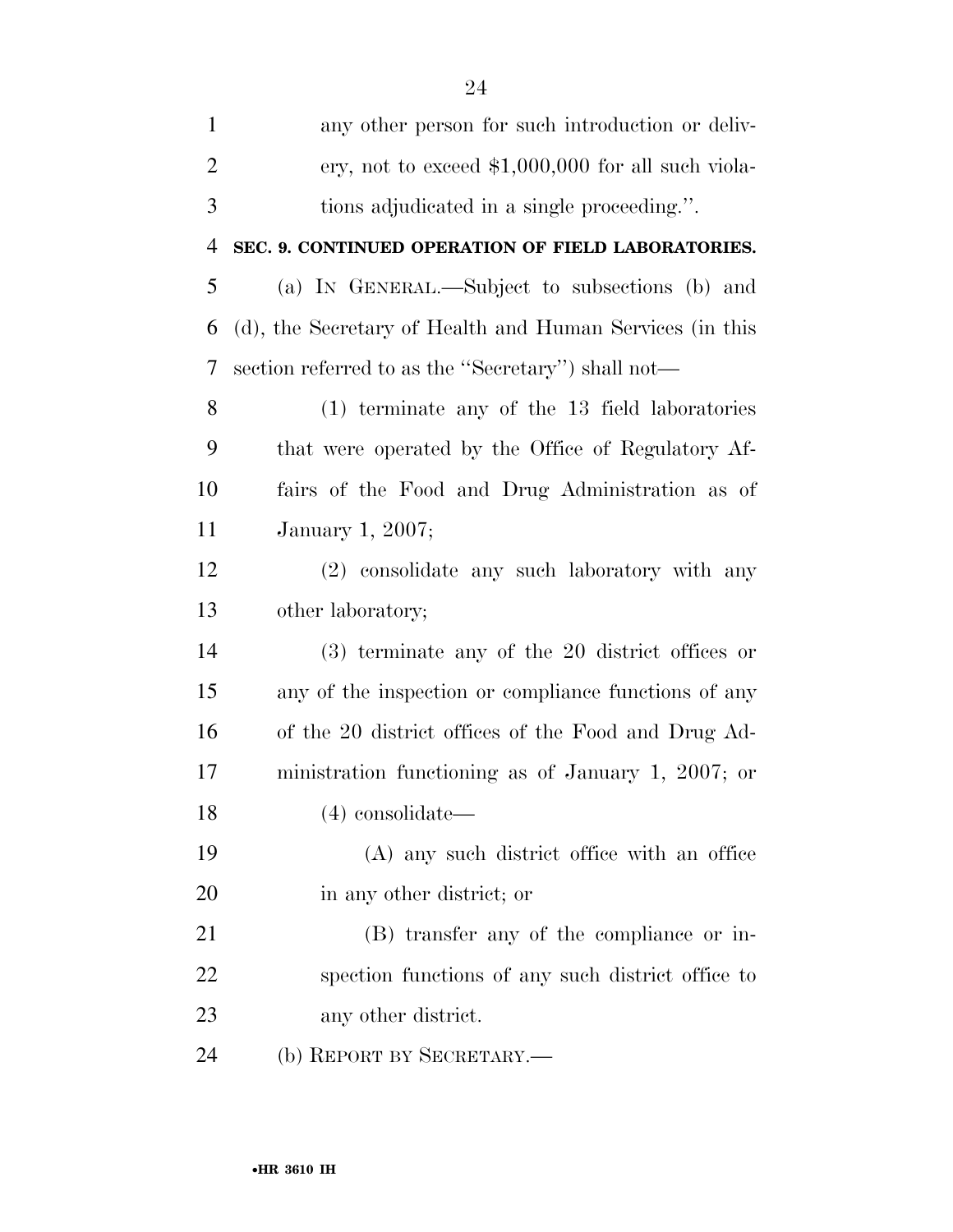| $\mathbf{1}$   | any other person for such introduction or deliv-         |
|----------------|----------------------------------------------------------|
| $\overline{2}$ | ery, not to exceed $$1,000,000$ for all such viola-      |
| 3              | tions adjudicated in a single proceeding.".              |
| $\overline{4}$ | SEC. 9. CONTINUED OPERATION OF FIELD LABORATORIES.       |
| 5              | (a) IN GENERAL.—Subject to subsections (b) and           |
| 6              | (d), the Secretary of Health and Human Services (in this |
| 7              | section referred to as the "Secretary") shall not—       |
| 8              | $(1)$ terminate any of the 13 field laboratories         |
| 9              | that were operated by the Office of Regulatory Af-       |
| 10             | fairs of the Food and Drug Administration as of          |
| 11             | January 1, 2007;                                         |
| 12             | (2) consolidate any such laboratory with any             |
| 13             | other laboratory;                                        |
| 14             | $(3)$ terminate any of the 20 district offices or        |
| 15             | any of the inspection or compliance functions of any     |
| 16             | of the 20 district offices of the Food and Drug Ad-      |
| 17             | ministration functioning as of January 1, 2007; or       |
| 18             | $(4)$ consolidate—                                       |
| 19             | (A) any such district office with an office              |
| <b>20</b>      | in any other district; or                                |
| 21             | (B) transfer any of the compliance or in-                |
| 22             | spection functions of any such district office to        |
| 23             | any other district.                                      |
| 24             | (b) REPORT BY SECRETARY.—                                |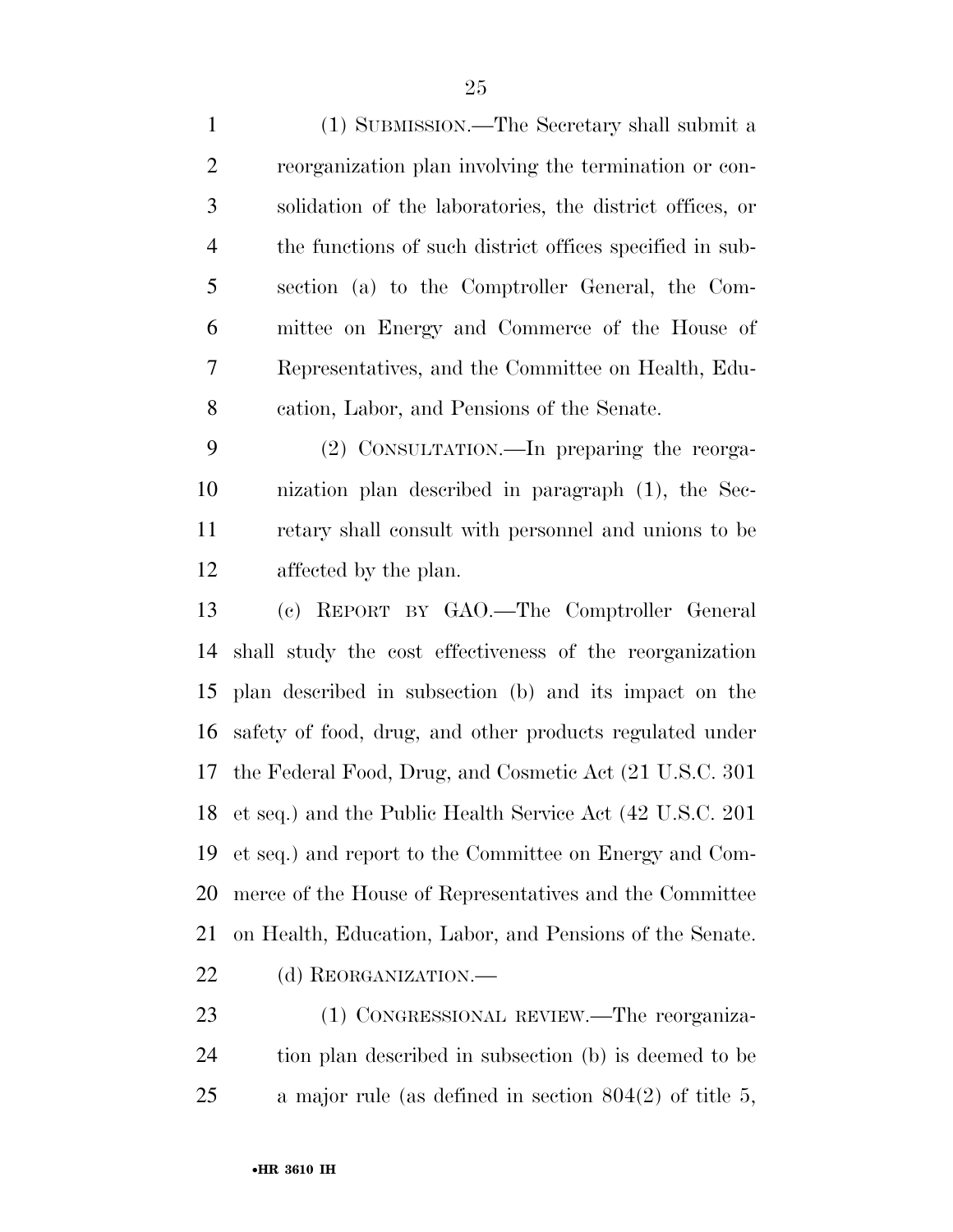(1) SUBMISSION.—The Secretary shall submit a reorganization plan involving the termination or con- solidation of the laboratories, the district offices, or the functions of such district offices specified in sub- section (a) to the Comptroller General, the Com- mittee on Energy and Commerce of the House of Representatives, and the Committee on Health, Edu-cation, Labor, and Pensions of the Senate.

 (2) CONSULTATION.—In preparing the reorga- nization plan described in paragraph (1), the Sec- retary shall consult with personnel and unions to be affected by the plan.

 (c) REPORT BY GAO.—The Comptroller General shall study the cost effectiveness of the reorganization plan described in subsection (b) and its impact on the safety of food, drug, and other products regulated under the Federal Food, Drug, and Cosmetic Act (21 U.S.C. 301 et seq.) and the Public Health Service Act (42 U.S.C. 201 et seq.) and report to the Committee on Energy and Com- merce of the House of Representatives and the Committee on Health, Education, Labor, and Pensions of the Senate. 22 (d) REORGANIZATION.—

 (1) CONGRESSIONAL REVIEW.—The reorganiza- tion plan described in subsection (b) is deemed to be a major rule (as defined in section 804(2) of title 5,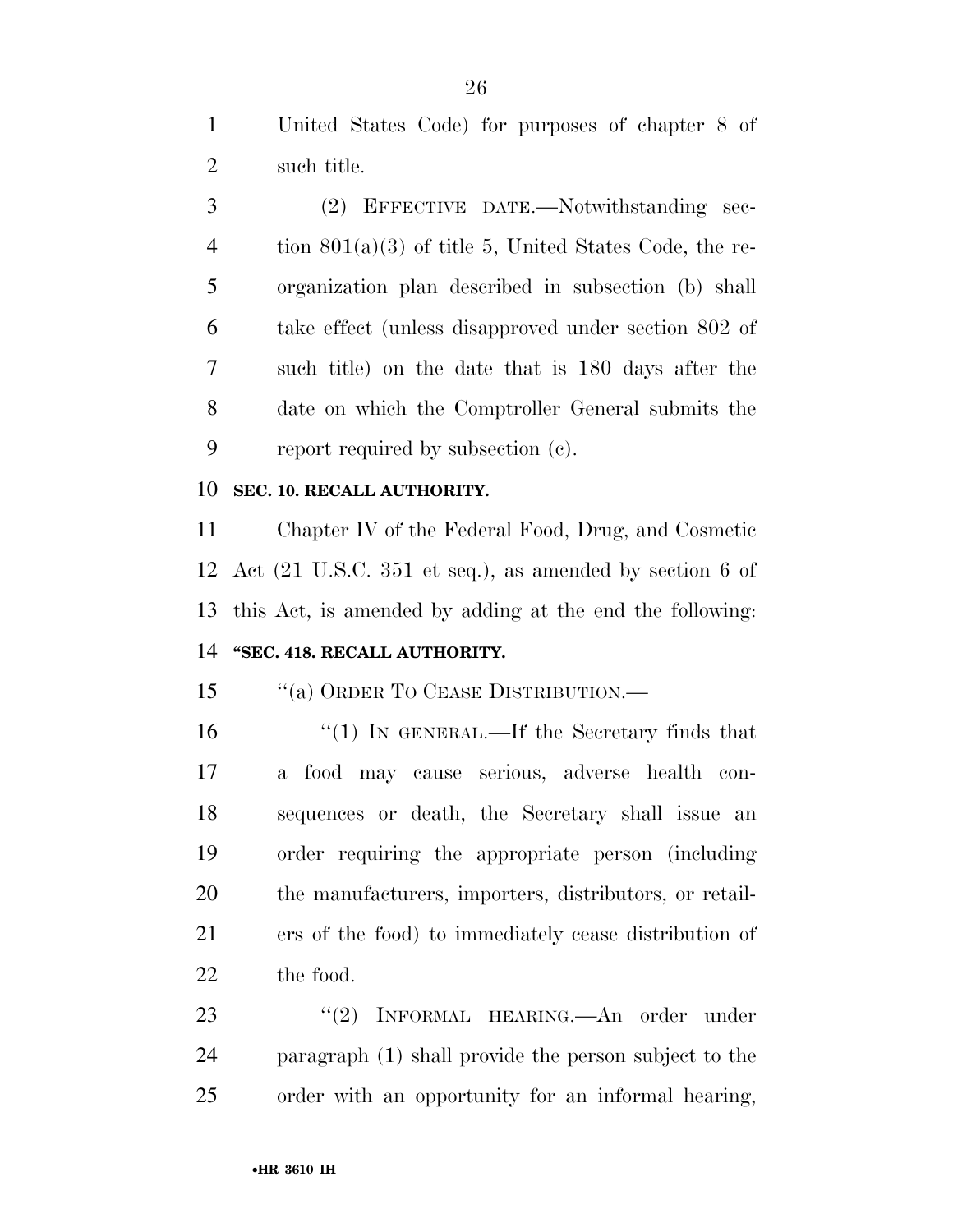United States Code) for purposes of chapter 8 of such title.

 (2) EFFECTIVE DATE.—Notwithstanding sec-4 tion  $801(a)(3)$  of title 5, United States Code, the re- organization plan described in subsection (b) shall take effect (unless disapproved under section 802 of such title) on the date that is 180 days after the date on which the Comptroller General submits the report required by subsection (c).

### **SEC. 10. RECALL AUTHORITY.**

 Chapter IV of the Federal Food, Drug, and Cosmetic Act (21 U.S.C. 351 et seq.), as amended by section 6 of this Act, is amended by adding at the end the following: **''SEC. 418. RECALL AUTHORITY.** 

15 "(a) ORDER TO CEASE DISTRIBUTION.—

16 "(1) IN GENERAL.—If the Secretary finds that a food may cause serious, adverse health con- sequences or death, the Secretary shall issue an order requiring the appropriate person (including the manufacturers, importers, distributors, or retail- ers of the food) to immediately cease distribution of the food.

23 "(2) INFORMAL HEARING.—An order under paragraph (1) shall provide the person subject to the order with an opportunity for an informal hearing,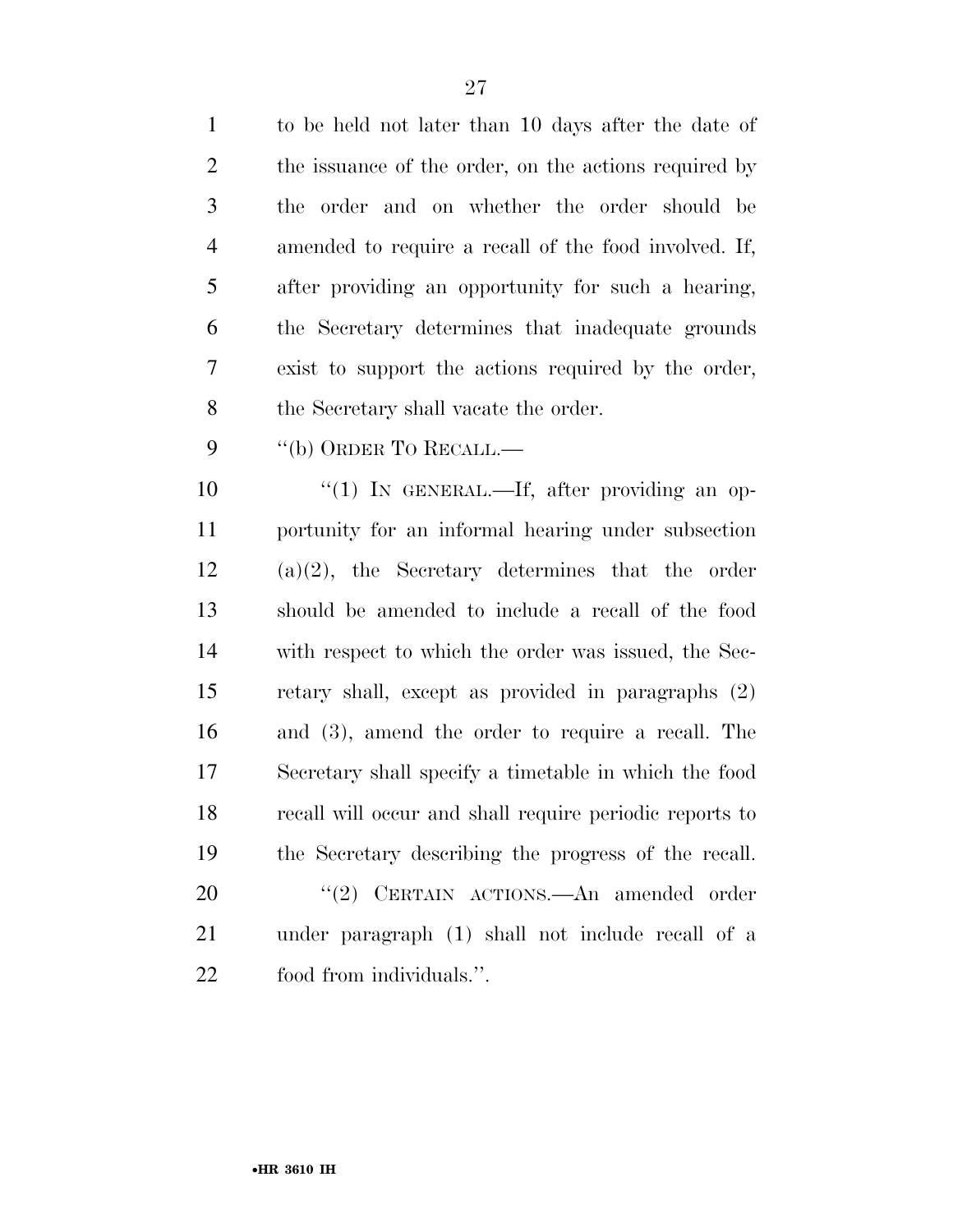| $\mathbf{1}$ | to be held not later than 10 days after the date of   |
|--------------|-------------------------------------------------------|
| 2            | the issuance of the order, on the actions required by |
| 3            | the order and on whether the order should be          |
| 4            | amended to require a recall of the food involved. If, |
| 5            | after providing an opportunity for such a hearing,    |
| 6            | the Secretary determines that inadequate grounds      |
| 7            | exist to support the actions required by the order,   |
| 8            | the Secretary shall vacate the order.                 |

9 "(b) ORDER TO RECALL.—

 $\frac{10}{10}$  IN GENERAL.—If, after providing an op- portunity for an informal hearing under subsection (a)(2), the Secretary determines that the order should be amended to include a recall of the food with respect to which the order was issued, the Sec- retary shall, except as provided in paragraphs (2) and (3), amend the order to require a recall. The Secretary shall specify a timetable in which the food recall will occur and shall require periodic reports to the Secretary describing the progress of the recall. 20 "(2) CERTAIN ACTIONS.—An amended order under paragraph (1) shall not include recall of a food from individuals.''.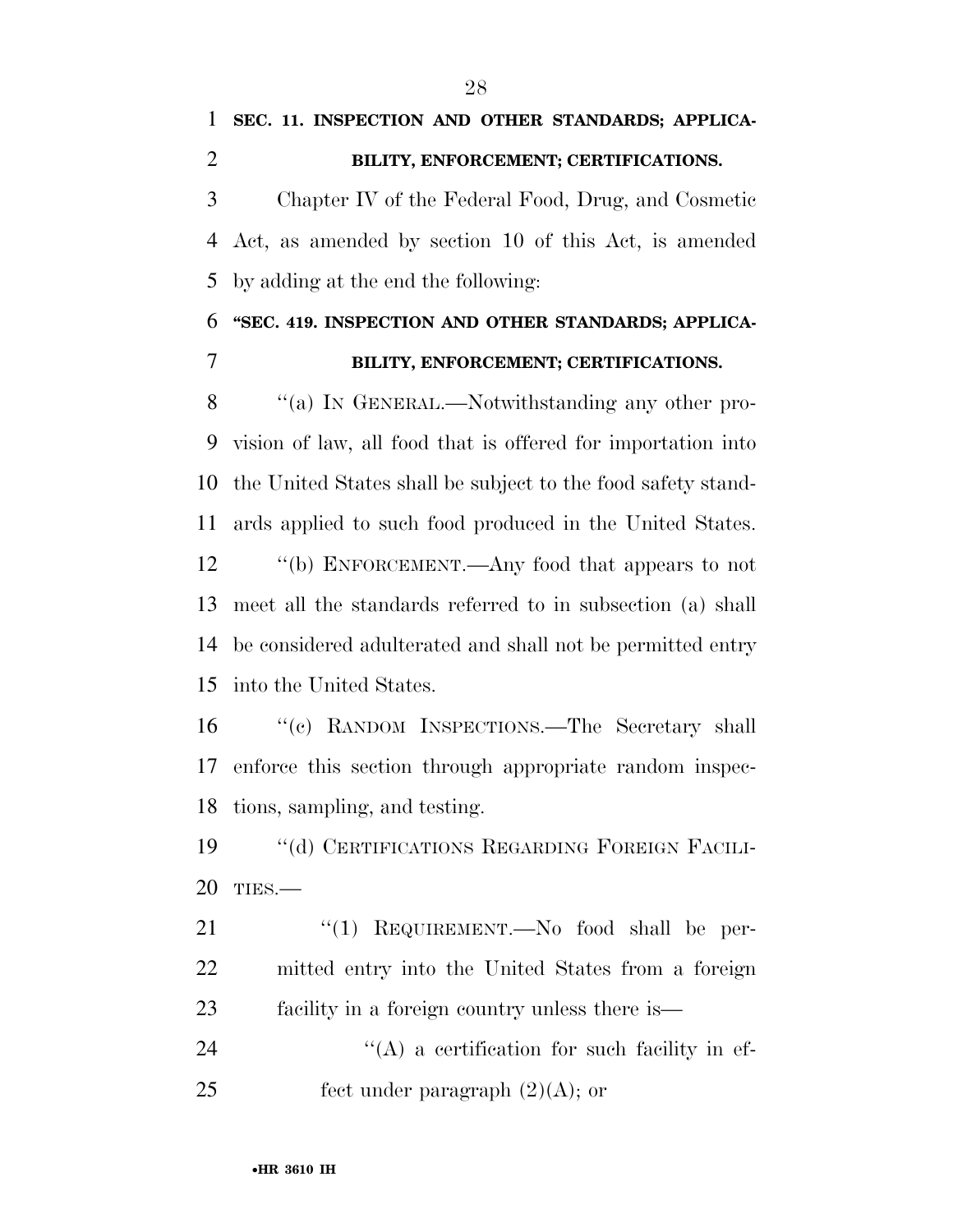Chapter IV of the Federal Food, Drug, and Cosmetic Act, as amended by section 10 of this Act, is amended by adding at the end the following:

## **''SEC. 419. INSPECTION AND OTHER STANDARDS; APPLICA-**

### **BILITY, ENFORCEMENT; CERTIFICATIONS.**

8 "(a) In GENERAL.—Notwithstanding any other pro- vision of law, all food that is offered for importation into the United States shall be subject to the food safety stand-ards applied to such food produced in the United States.

 ''(b) ENFORCEMENT.—Any food that appears to not meet all the standards referred to in subsection (a) shall be considered adulterated and shall not be permitted entry into the United States.

 ''(c) RANDOM INSPECTIONS.—The Secretary shall enforce this section through appropriate random inspec-tions, sampling, and testing.

 ''(d) CERTIFICATIONS REGARDING FOREIGN FACILI-TIES.—

21 "(1) REQUIREMENT.—No food shall be per- mitted entry into the United States from a foreign facility in a foreign country unless there is—

24  $\langle A \rangle$  a certification for such facility in ef-25 fect under paragraph  $(2)(A)$ ; or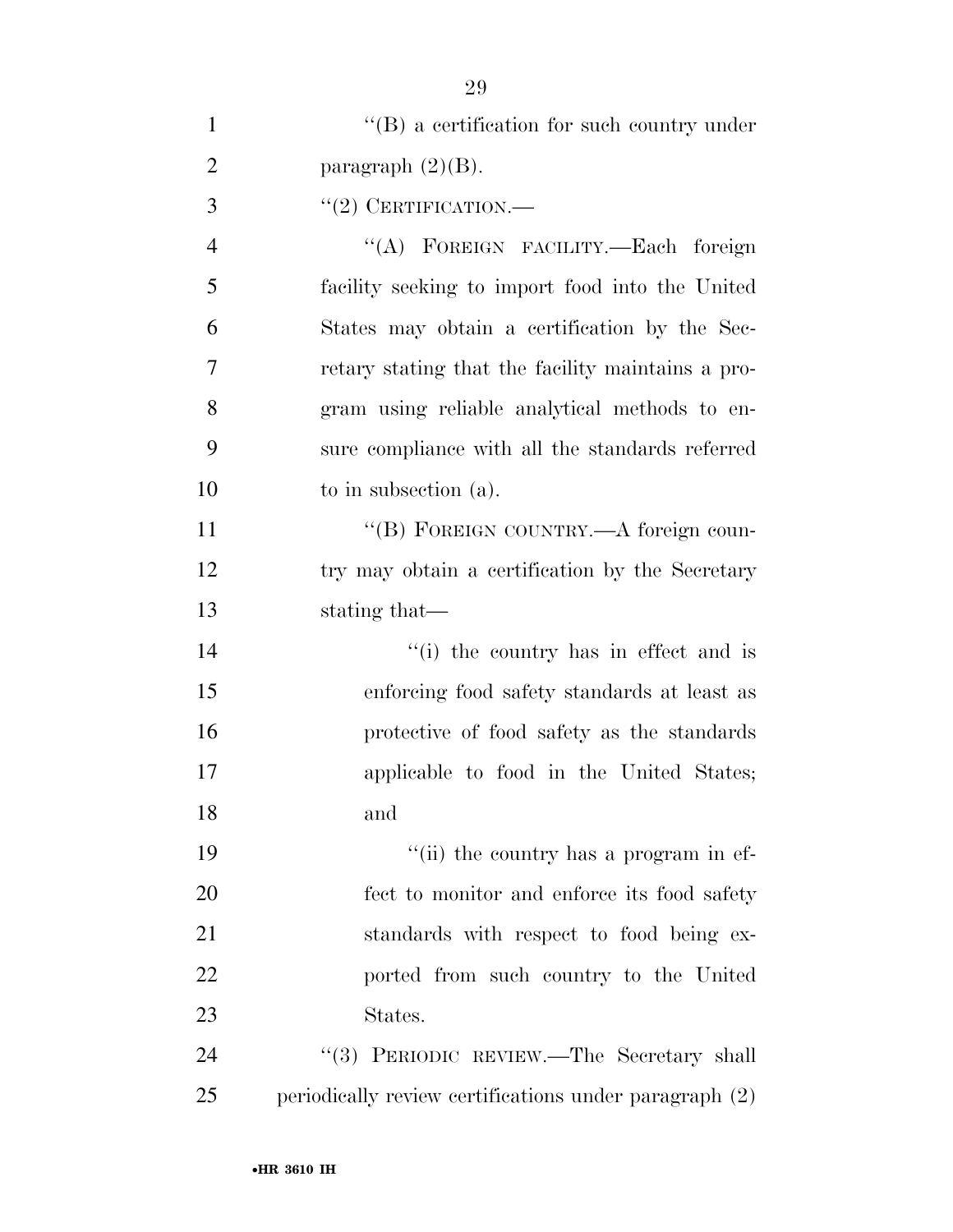| $\mathbf{1}$   | $\lq\lq$ a certification for such country under        |
|----------------|--------------------------------------------------------|
| $\overline{2}$ | paragraph $(2)(B)$ .                                   |
| 3              | $``(2)$ CERTIFICATION.—                                |
| $\overline{4}$ | "(A) FOREIGN FACILITY.—Each foreign                    |
| 5              | facility seeking to import food into the United        |
| 6              | States may obtain a certification by the Sec-          |
| 7              | retary stating that the facility maintains a pro-      |
| 8              | gram using reliable analytical methods to en-          |
| 9              | sure compliance with all the standards referred        |
| 10             | to in subsection (a).                                  |
| 11             | "(B) FOREIGN COUNTRY.—A foreign coun-                  |
| 12             | try may obtain a certification by the Secretary        |
| 13             | stating that—                                          |
| 14             | "(i) the country has in effect and is                  |
| 15             | enforcing food safety standards at least as            |
| 16             | protective of food safety as the standards             |
| 17             | applicable to food in the United States;               |
| 18             | and                                                    |
| 19             | "(ii) the country has a program in ef-                 |
| 20             | fect to monitor and enforce its food safety            |
| 21             | standards with respect to food being ex-               |
| 22             | ported from such country to the United                 |
| 23             | States.                                                |
| 24             | "(3) PERIODIC REVIEW.—The Secretary shall              |
| 25             | periodically review certifications under paragraph (2) |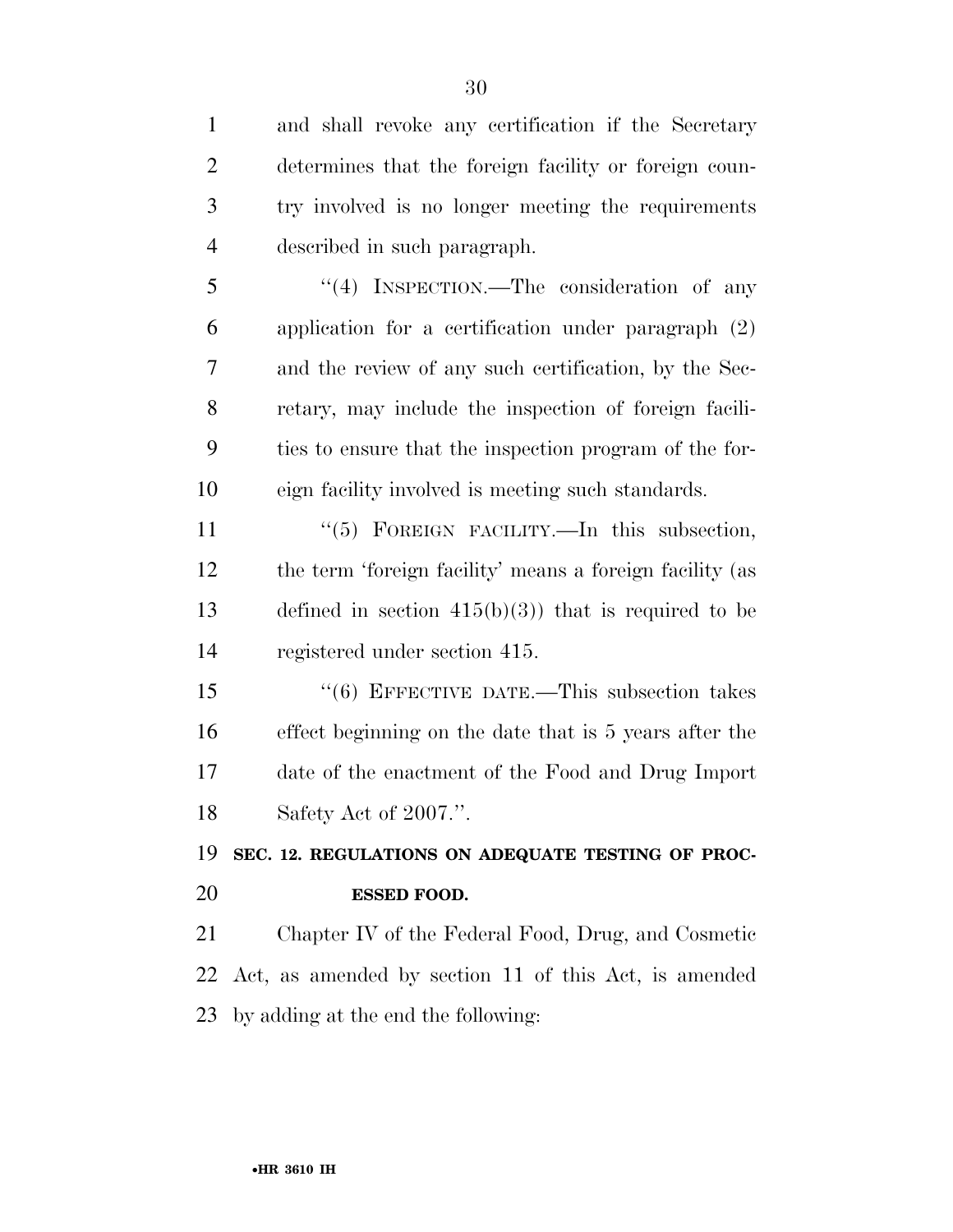and shall revoke any certification if the Secretary determines that the foreign facility or foreign coun- try involved is no longer meeting the requirements described in such paragraph. 5 "(4) INSPECTION.—The consideration of any application for a certification under paragraph (2) and the review of any such certification, by the Sec- retary, may include the inspection of foreign facili- ties to ensure that the inspection program of the for- eign facility involved is meeting such standards. 11 "(5) FOREIGN FACILITY.—In this subsection, the term 'foreign facility' means a foreign facility (as 13 defined in section  $415(b)(3)$  that is required to be registered under section 415. 15 "(6) EFFECTIVE DATE.—This subsection takes effect beginning on the date that is 5 years after the date of the enactment of the Food and Drug Import Safety Act of 2007.''. **SEC. 12. REGULATIONS ON ADEQUATE TESTING OF PROC- ESSED FOOD.**  Chapter IV of the Federal Food, Drug, and Cosmetic Act, as amended by section 11 of this Act, is amended by adding at the end the following:

•**HR 3610 IH**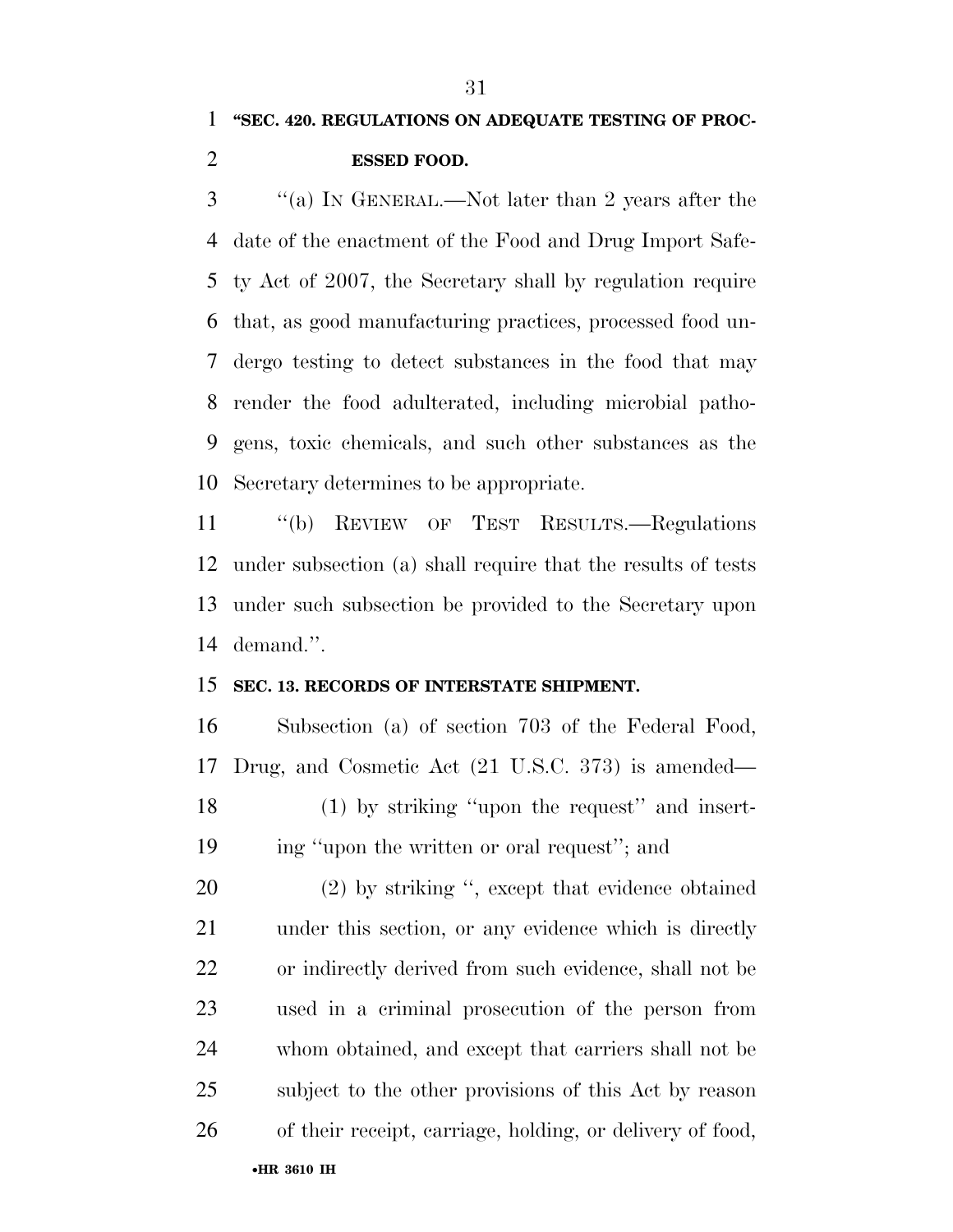''(a) IN GENERAL.—Not later than 2 years after the date of the enactment of the Food and Drug Import Safe- ty Act of 2007, the Secretary shall by regulation require that, as good manufacturing practices, processed food un- dergo testing to detect substances in the food that may render the food adulterated, including microbial patho- gens, toxic chemicals, and such other substances as the Secretary determines to be appropriate.

 ''(b) REVIEW OF TEST RESULTS.—Regulations under subsection (a) shall require that the results of tests under such subsection be provided to the Secretary upon demand.''.

#### **SEC. 13. RECORDS OF INTERSTATE SHIPMENT.**

 Subsection (a) of section 703 of the Federal Food, Drug, and Cosmetic Act (21 U.S.C. 373) is amended— (1) by striking ''upon the request'' and insert-ing ''upon the written or oral request''; and

 (2) by striking '', except that evidence obtained under this section, or any evidence which is directly or indirectly derived from such evidence, shall not be used in a criminal prosecution of the person from whom obtained, and except that carriers shall not be subject to the other provisions of this Act by reason of their receipt, carriage, holding, or delivery of food,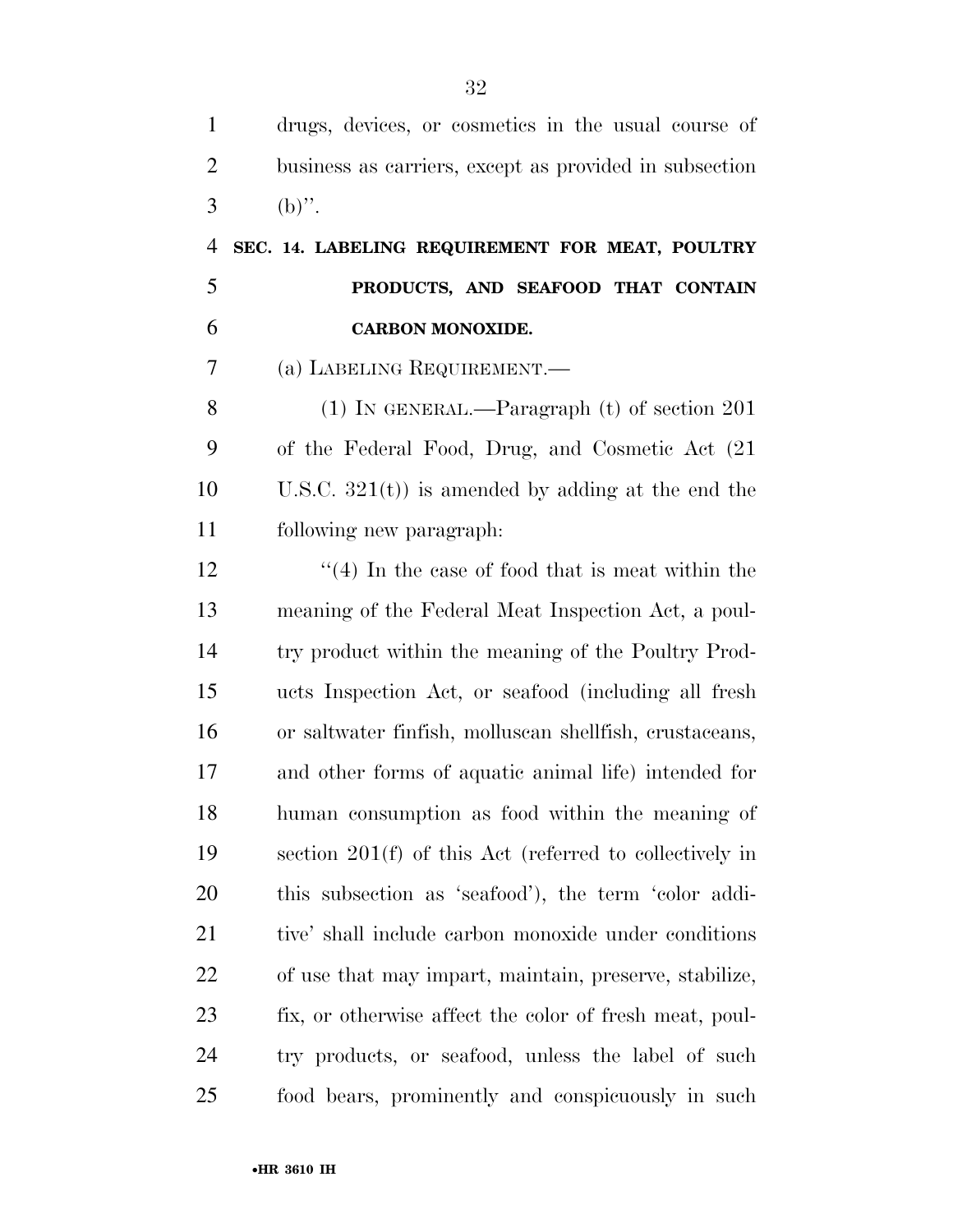| $\mathbf{1}$   | drugs, devices, or cosmetics in the usual course of     |
|----------------|---------------------------------------------------------|
| $\overline{2}$ | business as carriers, except as provided in subsection  |
| 3              | $(b)$ ".                                                |
| $\overline{4}$ | SEC. 14. LABELING REQUIREMENT FOR MEAT, POULTRY         |
| 5              | PRODUCTS, AND SEAFOOD THAT CONTAIN                      |
| 6              | <b>CARBON MONOXIDE.</b>                                 |
| 7              | (a) LABELING REQUIREMENT.                               |
| 8              | $(1)$ In GENERAL.—Paragraph $(t)$ of section 201        |
| 9              | of the Federal Food, Drug, and Cosmetic Act (21)        |
| 10             | U.S.C. $321(t)$ is amended by adding at the end the     |
| 11             | following new paragraph:                                |
| 12             | $\cdot$ (4) In the case of food that is meat within the |
| 13             | meaning of the Federal Meat Inspection Act, a poul-     |
| 14             | try product within the meaning of the Poultry Prod-     |
| 15             | ucts Inspection Act, or seafood (including all fresh    |
| 16             | or saltwater finfish, molluscan shellfish, crustaceans, |
| 17             | and other forms of aquatic animal life) intended for    |
| 18             | human consumption as food within the meaning of         |
| 19             | section 201(f) of this Act (referred to collectively in |
| <b>20</b>      | this subsection as 'seafood'), the term 'color addi-    |
| 21             | tive' shall include carbon monoxide under conditions    |
| 22             | of use that may impart, maintain, preserve, stabilize,  |
| 23             | fix, or otherwise affect the color of fresh meat, poul- |
| 24             | try products, or seafood, unless the label of such      |
| 25             | food bears, prominently and conspicuously in such       |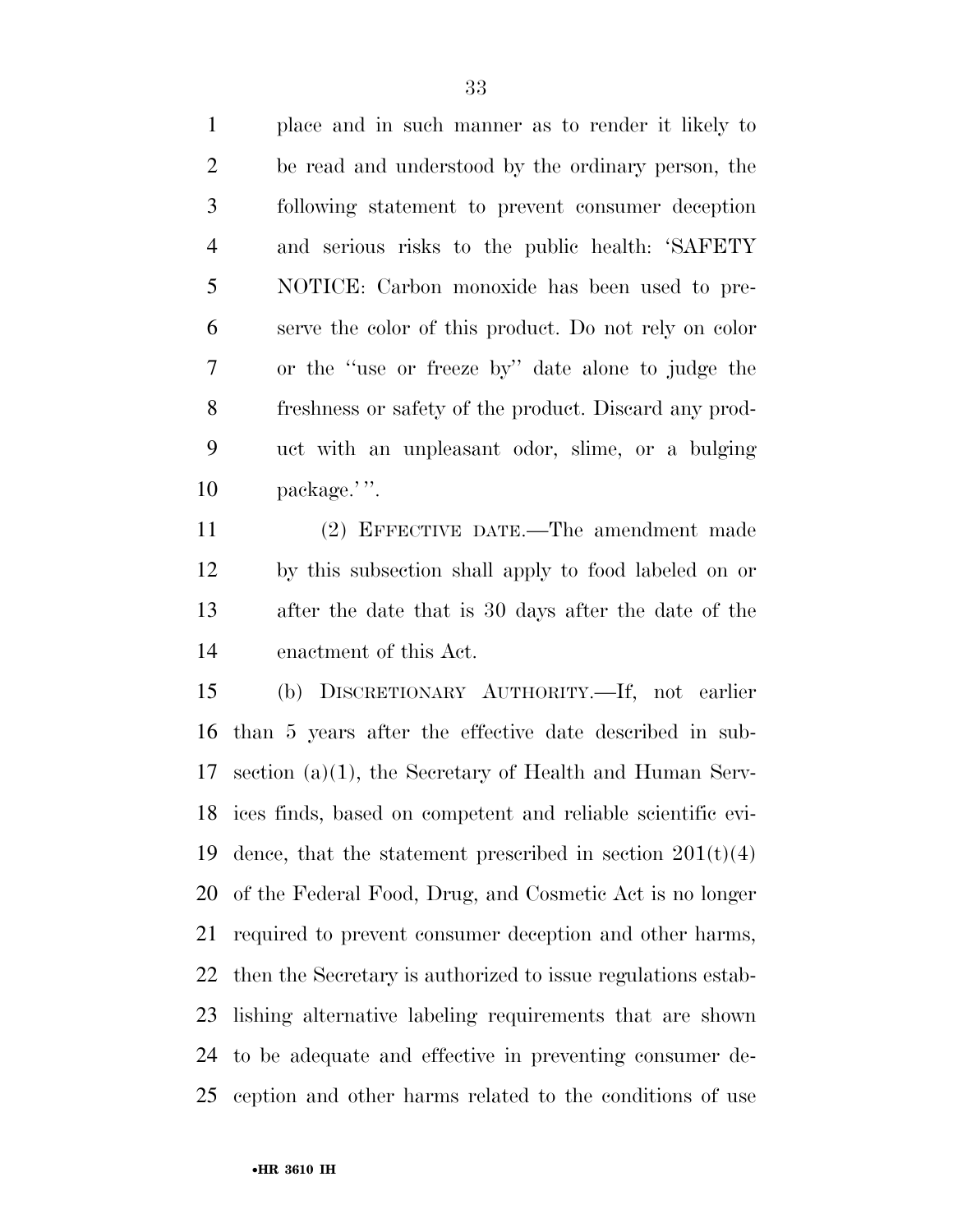place and in such manner as to render it likely to be read and understood by the ordinary person, the following statement to prevent consumer deception and serious risks to the public health: 'SAFETY NOTICE: Carbon monoxide has been used to pre- serve the color of this product. Do not rely on color or the ''use or freeze by'' date alone to judge the freshness or safety of the product. Discard any prod- uct with an unpleasant odor, slime, or a bulging package.' ''.

 (2) EFFECTIVE DATE.—The amendment made by this subsection shall apply to food labeled on or after the date that is 30 days after the date of the enactment of this Act.

 (b) DISCRETIONARY AUTHORITY.—If, not earlier than 5 years after the effective date described in sub- section (a)(1), the Secretary of Health and Human Serv- ices finds, based on competent and reliable scientific evi-19 dence, that the statement prescribed in section  $201(t)(4)$  of the Federal Food, Drug, and Cosmetic Act is no longer required to prevent consumer deception and other harms, then the Secretary is authorized to issue regulations estab- lishing alternative labeling requirements that are shown to be adequate and effective in preventing consumer de-ception and other harms related to the conditions of use